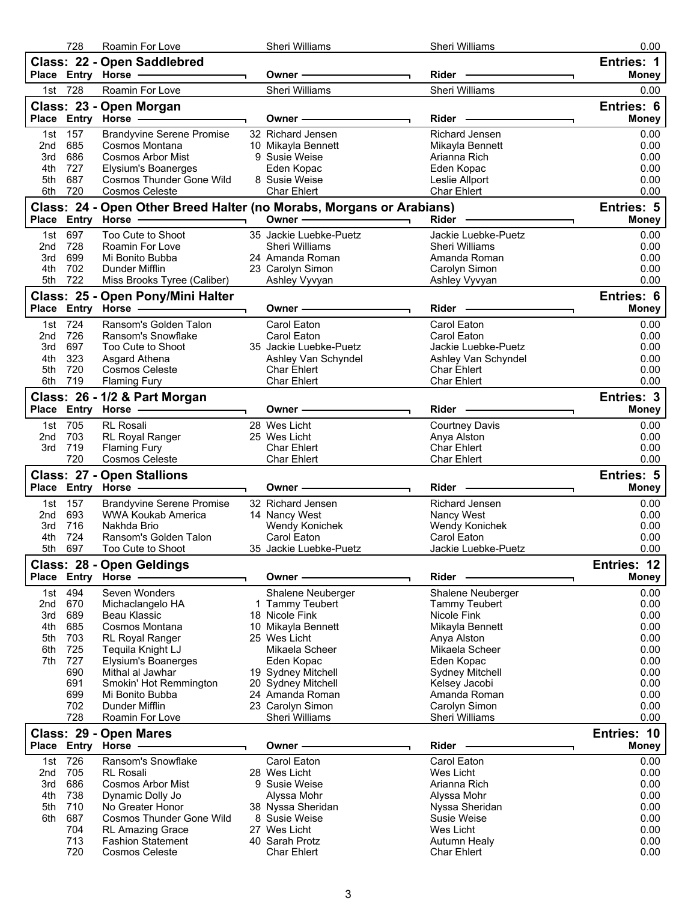|            | 728         | Roamin For Love                                     | Sheri Williams                                                       | Sheri Williams                             | 0.00                              |
|------------|-------------|-----------------------------------------------------|----------------------------------------------------------------------|--------------------------------------------|-----------------------------------|
|            |             | Class: 22 - Open Saddlebred<br>Place Entry Horse -  | Owner -                                                              | $Rider -$                                  | <b>Entries: 1</b><br><b>Money</b> |
| 1st        | 728         | Roamin For Love                                     | Sheri Williams                                                       | Sheri Williams                             | 0.00                              |
|            |             | Class: 23 - Open Morgan                             |                                                                      |                                            | Entries: 6                        |
|            |             | Place Entry Horse -                                 | Owner -                                                              | $Rider -$                                  | <b>Money</b>                      |
| 1st        | 157         | <b>Brandyvine Serene Promise</b>                    | 32 Richard Jensen                                                    | Richard Jensen                             | 0.00                              |
| 2nd        | 685         | Cosmos Montana                                      | 10 Mikayla Bennett                                                   | Mikayla Bennett                            | 0.00                              |
| 3rd        | 686         | Cosmos Arbor Mist                                   | 9 Susie Weise                                                        | Arianna Rich                               | 0.00                              |
| 4th        | 727<br>687  | Elysium's Boanerges                                 | Eden Kopac                                                           | Eden Kopac                                 | 0.00                              |
| 5th<br>6th | 720         | Cosmos Thunder Gone Wild<br><b>Cosmos Celeste</b>   | 8 Susie Weise<br>Char Ehlert                                         | Leslie Allport<br>Char Ehlert              | 0.00<br>0.00                      |
|            |             |                                                     | Class: 24 - Open Other Breed Halter (no Morabs, Morgans or Arabians) |                                            | Entries: 5                        |
|            |             | Place Entry Horse -                                 | Owner -<br>$\overline{\phantom{a}}$                                  | Rider -                                    | <b>Money</b>                      |
| 1st        | 697         | Too Cute to Shoot                                   | 35 Jackie Luebke-Puetz                                               | Jackie Luebke-Puetz                        | 0.00                              |
| 2nd        | 728         | Roamin For Love                                     | Sheri Williams                                                       | Sheri Williams                             | 0.00                              |
| 3rd        | 699         | Mi Bonito Bubba                                     | 24 Amanda Roman                                                      | Amanda Roman                               | 0.00                              |
| 4th        | 702         | Dunder Mifflin                                      | 23 Carolyn Simon                                                     | Carolyn Simon                              | 0.00                              |
| 5th        | 722         | Miss Brooks Tyree (Caliber)                         | Ashley Vyvyan                                                        | Ashley Vyvyan                              | 0.00                              |
|            |             | Class: 25 - Open Pony/Mini Halter                   |                                                                      |                                            | Entries: 6                        |
|            |             |                                                     | Owner -                                                              | Rider                                      | <b>Money</b>                      |
|            | 1st 724     | Ransom's Golden Talon                               | Carol Eaton                                                          | Carol Eaton                                | 0.00                              |
| 2nd        | 726<br>697  | Ransom's Snowflake                                  | Carol Eaton<br>35 Jackie Luebke-Puetz                                | Carol Eaton                                | 0.00                              |
| 3rd<br>4th | 323         | Too Cute to Shoot<br>Asgard Athena                  | Ashley Van Schyndel                                                  | Jackie Luebke-Puetz<br>Ashley Van Schyndel | 0.00<br>0.00                      |
| 5th        | 720         | Cosmos Celeste                                      | <b>Char Ehlert</b>                                                   | <b>Char Ehlert</b>                         | 0.00                              |
| 6th        | 719         | <b>Flaming Fury</b>                                 | Char Ehlert                                                          | Char Ehlert                                | 0.00                              |
|            |             | Class: 26 - 1/2 & Part Morgan                       |                                                                      |                                            | Entries: 3                        |
|            |             | Place Entry Horse                                   | Owner -                                                              | Rider -                                    | <b>Money</b>                      |
| 1st        | 705         | RL Rosali                                           | 28 Wes Licht                                                         | <b>Courtney Davis</b>                      | 0.00                              |
| 2nd        | 703         | <b>RL Royal Ranger</b>                              | 25 Wes Licht                                                         | Anya Alston                                | 0.00                              |
| 3rd        | 719         | <b>Flaming Fury</b>                                 | <b>Char Ehlert</b>                                                   | <b>Char Ehlert</b>                         | 0.00                              |
|            | 720         | Cosmos Celeste                                      | <b>Char Ehlert</b>                                                   | Char Ehlert                                | 0.00                              |
|            |             | <b>Class: 27 - Open Stallions</b>                   | Owner -                                                              | Rider                                      | <b>Entries: 5</b><br><b>Money</b> |
| 1st        | 157         | <b>Brandyvine Serene Promise</b>                    | 32 Richard Jensen                                                    | Richard Jensen                             | 0.00                              |
| 2nd        | 693         | WWA Koukab America                                  | 14 Nancy West                                                        | Nancy West                                 | 0.00                              |
| 3rd        | 716         | Nakhda Brio                                         | Wendy Konichek                                                       | Wendy Konichek                             | 0.00                              |
| 4th        | 724         | Ransom's Golden Talon                               | Carol Eaton                                                          | Carol Eaton                                | 0.00                              |
| 5th        | 697         | Too Cute to Shoot                                   | 35 Jackie Luebke-Puetz                                               | Jackie Luebke-Puetz                        | 0.00                              |
|            |             | Class: 28 - Open Geldings                           |                                                                      |                                            | Entries: 12                       |
|            | Place Entry | Horse -                                             | Owner -                                                              | Rider                                      | <b>Money</b>                      |
| 1st        | 494         | Seven Wonders                                       | Shalene Neuberger                                                    | Shalene Neuberger                          | 0.00                              |
| 2nd<br>3rd | 670<br>689  | Michaclangelo HA<br>Beau Klassic                    | 1 Tammy Teubert<br>18 Nicole Fink                                    | Tammy Teubert<br>Nicole Fink               | 0.00<br>0.00                      |
| 4th        | 685         | Cosmos Montana                                      | 10 Mikayla Bennett                                                   | Mikayla Bennett                            | 0.00                              |
| 5th        | 703         | <b>RL Royal Ranger</b>                              | 25 Wes Licht                                                         | Anya Alston                                | 0.00                              |
| 6th        | 725         | Tequila Knight LJ                                   | Mikaela Scheer                                                       | Mikaela Scheer                             | 0.00                              |
| 7th        | 727         | <b>Elysium's Boanerges</b>                          | Eden Kopac                                                           | Eden Kopac                                 | 0.00                              |
|            | 690         | Mithal al Jawhar                                    | 19 Sydney Mitchell                                                   | <b>Sydney Mitchell</b>                     | 0.00                              |
|            | 691<br>699  | Smokin' Hot Remmington                              | 20 Sydney Mitchell                                                   | Kelsey Jacobi                              | 0.00<br>0.00                      |
|            | 702         | Mi Bonito Bubba<br>Dunder Mifflin                   | 24 Amanda Roman<br>23 Carolyn Simon                                  | Amanda Roman<br>Carolyn Simon              | 0.00                              |
|            | 728         | Roamin For Love                                     | Sheri Williams                                                       | Sheri Williams                             | 0.00                              |
|            |             | Class: 29 - Open Mares                              |                                                                      |                                            | Entries: 10                       |
|            | Place Entry | Horse -                                             | Owner                                                                | Rider                                      | <b>Money</b>                      |
| 1st        | 726         | Ransom's Snowflake                                  | Carol Eaton                                                          | Carol Eaton                                | 0.00                              |
| 2nd        | 705         | <b>RL</b> Rosali                                    | 28 Wes Licht                                                         | Wes Licht                                  | 0.00                              |
| 3rd        | 686         | <b>Cosmos Arbor Mist</b>                            | 9 Susie Weise                                                        | Arianna Rich                               | 0.00                              |
| 4th        | 738<br>710  | Dynamic Dolly Jo                                    | Alyssa Mohr                                                          | Alyssa Mohr                                | 0.00                              |
| 5th<br>6th |             | No Greater Honor                                    | 38 Nyssa Sheridan                                                    | Nyssa Sheridan                             | 0.00                              |
|            |             |                                                     |                                                                      |                                            |                                   |
|            | 687         | Cosmos Thunder Gone Wild                            | 8 Susie Weise                                                        | Susie Weise                                | 0.00                              |
|            | 704<br>713  | <b>RL Amazing Grace</b><br><b>Fashion Statement</b> | 27 Wes Licht<br>40 Sarah Protz                                       | Wes Licht                                  | 0.00<br>0.00                      |
|            | 720         | <b>Cosmos Celeste</b>                               | Char Ehlert                                                          | Autumn Healy<br><b>Char Ehlert</b>         | 0.00                              |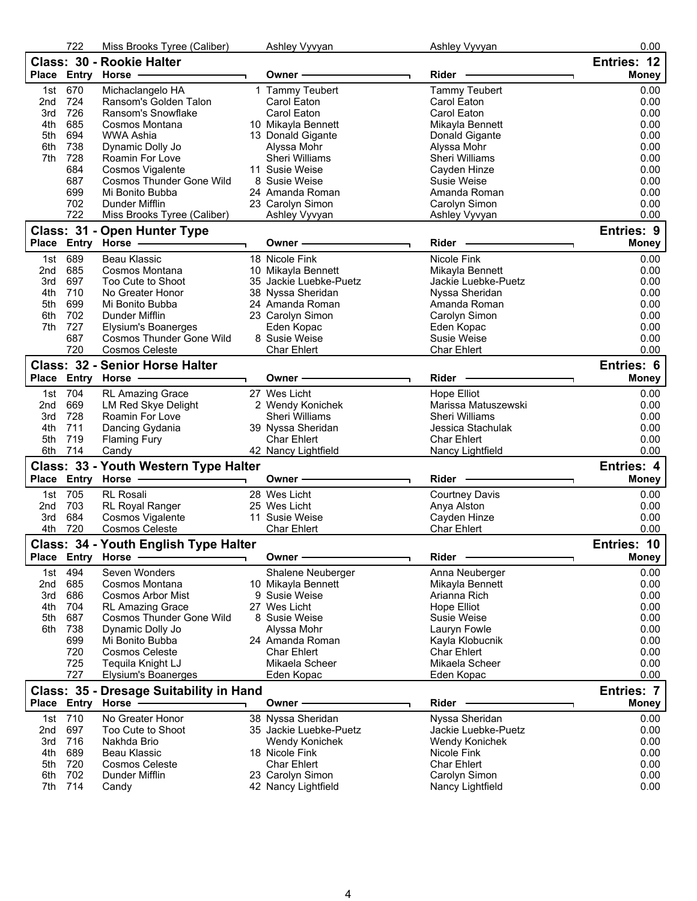|                           | 722         | Miss Brooks Tyree (Caliber)             | Ashley Vyvyan                           | Ashley Vyvyan                     | 0.00              |
|---------------------------|-------------|-----------------------------------------|-----------------------------------------|-----------------------------------|-------------------|
|                           |             | Class: 30 - Rookie Halter               |                                         |                                   | Entries: 12       |
|                           | Place Entry | Horse -                                 | Owner –                                 | Rider                             | <b>Money</b>      |
| 1st                       | 670         | Michaclangelo HA                        | 1 Tammy Teubert                         | <b>Tammy Teubert</b>              | 0.00              |
| 2nd                       | 724         | Ransom's Golden Talon                   | Carol Eaton                             | Carol Eaton                       | 0.00              |
| 3rd                       | 726         | Ransom's Snowflake                      | Carol Eaton                             | Carol Eaton                       | 0.00              |
| 4th                       | 685         | Cosmos Montana                          | 10 Mikayla Bennett                      | Mikayla Bennett                   | 0.00              |
| 5th                       | 694         | <b>WWA Ashia</b>                        | 13 Donald Gigante                       | Donald Gigante                    | 0.00              |
| 6th                       | 738         | Dynamic Dolly Jo                        | Alyssa Mohr                             | Alyssa Mohr                       | 0.00              |
| 7th                       | 728         | Roamin For Love                         | Sheri Williams                          | Sheri Williams                    | 0.00              |
|                           | 684         | Cosmos Vigalente                        | 11 Susie Weise                          | Cayden Hinze                      | 0.00              |
|                           | 687         | Cosmos Thunder Gone Wild                | 8 Susie Weise                           | Susie Weise                       | 0.00              |
|                           | 699         | Mi Bonito Bubba                         | 24 Amanda Roman                         | Amanda Roman                      | 0.00              |
|                           | 702         | Dunder Mifflin                          | 23 Carolyn Simon                        | Carolyn Simon                     | 0.00              |
|                           | 722         | Miss Brooks Tyree (Caliber)             | Ashley Vyvyan                           | Ashley Vyvyan                     | 0.00              |
|                           |             |                                         |                                         |                                   | Entries: 9        |
|                           |             | Class: 31 - Open Hunter Type            | Owner -                                 | Rider                             |                   |
|                           |             | Place Entry Horse -                     |                                         |                                   | <b>Money</b>      |
| 1st                       | 689         | Beau Klassic                            | 18 Nicole Fink                          | Nicole Fink                       | 0.00              |
| 2nd                       | 685         | Cosmos Montana                          | 10 Mikayla Bennett                      | Mikayla Bennett                   | 0.00              |
| 3rd                       | 697         | Too Cute to Shoot                       | 35 Jackie Luebke-Puetz                  | Jackie Luebke-Puetz               | 0.00              |
| 4th                       | 710         | No Greater Honor                        | 38 Nyssa Sheridan                       | Nyssa Sheridan                    | 0.00              |
| 5th                       | 699         | Mi Bonito Bubba                         | 24 Amanda Roman                         | Amanda Roman                      | 0.00              |
| 6th                       | 702         | Dunder Mifflin                          | 23 Carolyn Simon                        | Carolyn Simon                     | 0.00              |
| 7th                       | 727         | Elysium's Boanerges                     | Eden Kopac                              | Eden Kopac                        | 0.00              |
|                           | 687         | Cosmos Thunder Gone Wild                | 8 Susie Weise                           | Susie Weise                       | 0.00              |
|                           | 720         | <b>Cosmos Celeste</b>                   | Char Ehlert                             | <b>Char Ehlert</b>                | 0.00              |
|                           |             | <b>Class: 32 - Senior Horse Halter</b>  |                                         |                                   | Entries: 6        |
|                           |             | Place Entry Horse -                     | Owner -                                 | Rider                             | <b>Money</b>      |
| 1st                       | 704         | RL Amazing Grace                        | 27 Wes Licht                            | Hope Elliot                       | 0.00              |
| 2 <sub>nd</sub>           | 669         | LM Red Skye Delight                     | 2 Wendy Konichek                        | Marissa Matuszewski               | 0.00              |
| 3rd                       | 728         | Roamin For Love                         | Sheri Williams                          | Sheri Williams                    | 0.00              |
| 4th                       | 711         | Dancing Gydania                         | 39 Nyssa Sheridan                       | Jessica Stachulak                 | 0.00              |
| 5th                       | 719         |                                         | Char Ehlert                             | <b>Char Ehlert</b>                | 0.00              |
| 6th                       | 714         | <b>Flaming Fury</b><br>Candy            | 42 Nancy Lightfield                     | Nancy Lightfield                  | 0.00              |
|                           |             |                                         |                                         |                                   |                   |
|                           |             | Class: 33 - Youth Western Type Halter   |                                         |                                   | <b>Entries: 4</b> |
|                           | Place Entry | <b>Horse</b>                            | Owner -                                 | Rider                             | <b>Money</b>      |
| 1st                       | 705         | RL Rosali                               | 28 Wes Licht                            | <b>Courtney Davis</b>             | 0.00              |
| 2nd                       | 703         | RL Royal Ranger                         | 25 Wes Licht                            | Anya Alston                       | 0.00              |
| 3rd                       | 684         | Cosmos Vigalente                        | 11 Susie Weise                          | Cayden Hinze                      | 0.00              |
| 4th                       | 720         | <b>Cosmos Celeste</b>                   | <b>Char Ehlert</b>                      | <b>Char Ehlert</b>                | 0.00              |
|                           |             | Class: 34 - Youth English Type Halter   |                                         |                                   | Entries: 10       |
|                           | Place Entry | Horse -                                 | Owner-                                  | Rider                             | <b>Money</b>      |
|                           |             |                                         |                                         |                                   |                   |
| 1st                       | 494         | Seven Wonders                           | Shalene Neuberger                       | Anna Neuberger                    | 0.00              |
| 2nd                       | 685         | Cosmos Montana                          | 10 Mikayla Bennett                      | Mikayla Bennett                   | 0.00              |
| 3rd                       | 686         | Cosmos Arbor Mist                       | 9 Susie Weise                           | Arianna Rich                      | 0.00              |
| 4th                       | 704         | <b>RL Amazing Grace</b>                 | 27 Wes Licht                            | Hope Elliot                       | 0.00              |
| 5th                       | 687         | <b>Cosmos Thunder Gone Wild</b>         | 8 Susie Weise                           | Susie Weise                       | 0.00              |
| 6th                       | 738         | Dynamic Dolly Jo                        | Alyssa Mohr                             | Lauryn Fowle                      | 0.00              |
|                           | 699         | Mi Bonito Bubba                         | 24 Amanda Roman                         | Kayla Klobucnik                   | 0.00              |
|                           | 720         | <b>Cosmos Celeste</b>                   | Char Ehlert                             | <b>Char Ehlert</b>                | 0.00              |
|                           | 725         | Tequila Knight LJ                       | Mikaela Scheer                          | Mikaela Scheer                    | 0.00              |
|                           |             | Elysium's Boanerges                     | Eden Kopac                              | Eden Kopac                        | 0.00              |
|                           | 727         |                                         |                                         |                                   |                   |
|                           |             | Class: 35 - Dresage Suitability in Hand |                                         |                                   | <b>Entries: 7</b> |
|                           |             | Horse                                   | Owner                                   | Rider                             | <b>Money</b>      |
| 1st                       | 710         |                                         |                                         |                                   | 0.00              |
|                           |             | No Greater Honor                        | 38 Nyssa Sheridan                       | Nyssa Sheridan                    |                   |
| 2nd                       | 697         | Too Cute to Shoot                       | 35 Jackie Luebke-Puetz                  | Jackie Luebke-Puetz               | 0.00              |
| 3rd                       | 716         | Nakhda Brio                             | <b>Wendy Konichek</b>                   | Wendy Konichek                    | 0.00              |
| 4th                       | 689         | Beau Klassic                            | 18 Nicole Fink                          | Nicole Fink                       | 0.00              |
| 5th                       | 720         | <b>Cosmos Celeste</b>                   | <b>Char Ehlert</b>                      | <b>Char Ehlert</b>                | 0.00              |
| Place Entry<br>6th<br>7th | 702<br>714  | Dunder Mifflin<br>Candy                 | 23 Carolyn Simon<br>42 Nancy Lightfield | Carolyn Simon<br>Nancy Lightfield | 0.00<br>0.00      |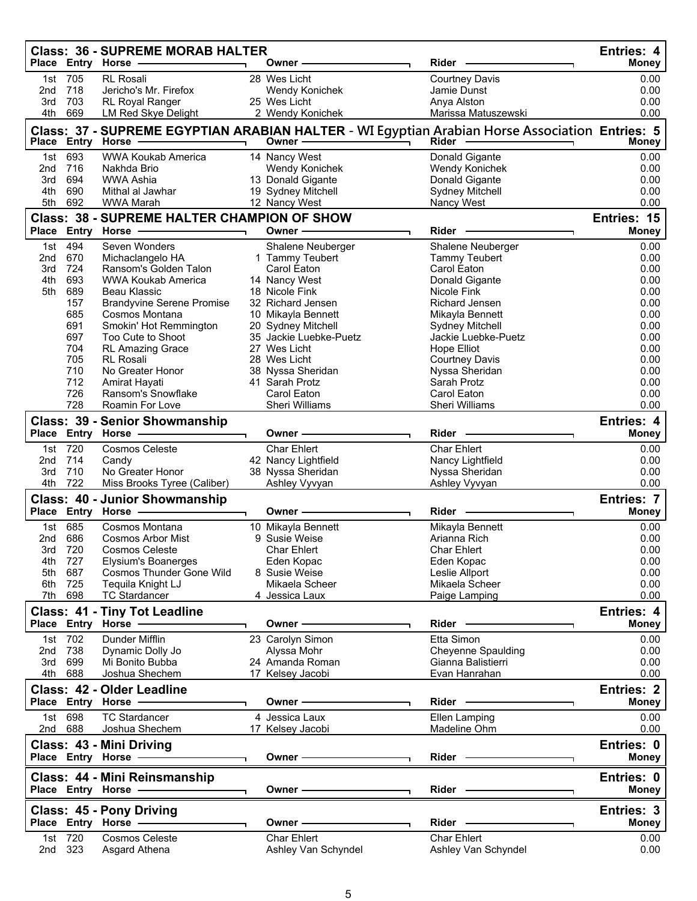| Place Entry Horse<br><b>RL Rosali</b><br>0.00<br>705<br>28 Wes Licht<br>Courtney Davis<br>1st<br>718<br>Jericho's Mr. Firefox<br>0.00<br>2nd<br>Wendy Konichek<br>Jamie Dunst<br>703<br>0.00<br>RL Royal Ranger<br>25 Wes Licht<br>Anya Alston<br>3rd<br>669<br>4th<br>2 Wendy Konichek<br>Marissa Matuszewski<br>0.00<br>LM Red Skye Delight<br>Class: 37 - SUPREME EGYPTIAN ARABIAN HALTER - WI Egyptian Arabian Horse Association Entries: 5<br>Place Entry<br>Horse<br>Owner<br>Rider<br>Money<br>693<br><b>WWA Koukab America</b><br>14 Nancy West<br>Donald Gigante<br>0.00<br>1st<br>716<br>0.00<br>2nd<br>Nakhda Brio<br>Wendy Konichek<br>Wendy Konichek<br>694<br><b>WWA Ashia</b><br>13 Donald Gigante<br>Donald Gigante<br>0.00<br>3rd<br>690<br>19 Sydney Mitchell<br>Sydney Mitchell<br>0.00<br>4th<br>Mithal al Jawhar<br>692<br>5th<br>0.00<br><b>WWA Marah</b><br>12 Nancy West<br>Nancy West<br><b>Class: 38 - SUPREME HALTER CHAMPION OF SHOW</b><br>Entries: 15<br>Place Entry Horse<br>Rider<br><b>Money</b><br>Owner -<br>494<br>0.00<br>Seven Wonders<br>Shalene Neuberger<br>1st<br>Shalene Neuberger<br>0.00<br>2nd<br>670<br>1 Tammy Teubert<br>Tammy Teubert<br>Michaclangelo HA<br>724<br>Carol Eaton<br>0.00<br>3rd<br>Ransom's Golden Talon<br>Carol Eaton<br>693<br>14 Nancy West<br>0.00<br>4th<br>WWA Koukab America<br>Donald Gigante<br>689<br>0.00<br>5th<br>Beau Klassic<br>18 Nicole Fink<br>Nicole Fink<br>157<br><b>Brandyvine Serene Promise</b><br>32 Richard Jensen<br>Richard Jensen<br>0.00<br>685<br>0.00<br>Cosmos Montana<br>10 Mikayla Bennett<br>Mikayla Bennett<br>691<br>20 Sydney Mitchell<br>0.00<br>Smokin' Hot Remmington<br><b>Sydney Mitchell</b><br>697<br>35 Jackie Luebke-Puetz<br>Jackie Luebke-Puetz<br>0.00<br>Too Cute to Shoot<br>704<br>0.00<br><b>RL Amazing Grace</b><br>27 Wes Licht<br>Hope Elliot<br>705<br><b>RL Rosali</b><br>0.00<br>28 Wes Licht<br>Courtney Davis<br>710<br>No Greater Honor<br>38 Nyssa Sheridan<br>Nyssa Sheridan<br>0.00<br>712<br>41 Sarah Protz<br>Sarah Protz<br>0.00<br>Amirat Hayati<br>726<br>Ransom's Snowflake<br>Carol Eaton<br>Carol Eaton<br>0.00<br>728<br>Roamin For Love<br>Sheri Williams<br>Sheri Williams<br>0.00<br><b>Class: 39 - Senior Showmanship</b><br>Entries: 4<br>Place Entry Horse -<br>Rider<br>Owner -<br><b>Money</b><br>1st 720<br><b>Char Ehlert</b><br><b>Char Ehlert</b><br><b>Cosmos Celeste</b><br>0.00<br>714<br>42 Nancy Lightfield<br>0.00<br>2nd<br>Nancy Lightfield<br>Candy<br>710<br>No Greater Honor<br>38 Nyssa Sheridan<br>Nyssa Sheridan<br>0.00<br>3rd<br>722<br>4th<br>Ashley Vyvyan<br>0.00<br>Miss Brooks Tyree (Caliber)<br>Ashley Vyvyan<br>Class: 40 - Junior Showmanship<br><b>Entries: 7</b><br>Place Entry Horse -<br>$Rider -$<br><b>Money</b><br>Owner -<br>685<br>Cosmos Montana<br>10 Mikayla Bennett<br>Mikayla Bennett<br>0.00<br>1st<br>686<br>0.00<br><b>Cosmos Arbor Mist</b><br>9 Susie Weise<br>Arianna Rich<br>2nd<br>3rd 720<br><b>Char Ehlert</b><br><b>Char Ehlert</b><br>0.00<br>Cosmos Celeste<br>0.00<br>4th 727<br>Elysium's Boanerges<br>Eden Kopac<br>Eden Kopac<br>Cosmos Thunder Gone Wild<br>8 Susie Weise<br>0.00<br>5th 687<br>Leslie Allport<br>6th 725<br>Tequila Knight LJ<br>Mikaela Scheer<br>Mikaela Scheer<br>0.00<br>7th 698<br><b>TC Stardancer</b><br>0.00<br>4 Jessica Laux<br>Paige Lamping<br><b>Class: 41 - Tiny Tot Leadline</b><br>Entries: 4<br>Place Entry Horse - The Manager of the Manager of the Manager of the Manager of the Manager of the Manager of<br>Owner $\longrightarrow$<br><b>Money</b><br>Dunder Mifflin<br>1st 702<br>Etta Simon<br>23 Carolyn Simon<br>0.00<br>0.00<br>2nd 738<br>Dynamic Dolly Jo<br>Alyssa Mohr<br><b>Cheyenne Spaulding</b><br>Gianna Balistierri<br>3rd 699<br>Mi Bonito Bubba<br>24 Amanda Roman<br>0.00<br>4th 688<br>17 Kelsey Jacobi<br>Evan Hanrahan<br>0.00<br>Joshua Shechem<br>Class: 42 - Older Leadline<br><b>Entries: 2</b><br>Place Entry Horse - The Management of the Management of the Management of the Management of the Management of<br>Owner ––––––––––––––<br><b>Money</b><br>1st 698<br><b>TC Stardancer</b><br>4 Jessica Laux<br>0.00<br>Ellen Lamping<br>0.00<br>2nd 688<br>Joshua Shechem<br>17 Kelsey Jacobi<br>Madeline Ohm<br>Entries: 0<br>Class: 43 - Mini Driving<br>Place Entry Horse - and the manufacturer<br>Owner - The Commission of the Commission of the Commission of the Commission of the Commission of the Commission of the Commission of the Commission of the Commission of the Commission of the Commission of the Commission o<br>Rider - The Management of the Management of the Management of the Management of the Management of the Management of the Management of the Management of the Management of the Management of the Management of the Management o<br><b>Money</b><br>Entries: 0<br>Class: 44 - Mini Reinsmanship<br>Rider - The Management of the Management of the Management of the Management of the Management of the Management of the Management of the Management of the Management of the Management of the Management of the Management o<br><b>Money</b><br>Place Entry Horse - The Management of the Management of the Management of the Management of the Management of<br>Owner —————<br>Class: 45 - Pony Driving<br>Entries: 3<br>Rider —<br>Owner - The Common Section 2014<br>Place Entry Horse -<br><b>Money</b><br>1st 720<br><b>Cosmos Celeste</b><br>Char Ehlert<br><b>Char Ehlert</b><br>0.00<br>2nd 323<br>Ashley Van Schyndel<br>Ashley Van Schyndel<br>0.00<br>Asgard Athena |  | <b>Class: 36 - SUPREME MORAB HALTER</b> | Owner- | Rider | <b>Entries: 4</b><br><b>Money</b> |
|------------------------------------------------------------------------------------------------------------------------------------------------------------------------------------------------------------------------------------------------------------------------------------------------------------------------------------------------------------------------------------------------------------------------------------------------------------------------------------------------------------------------------------------------------------------------------------------------------------------------------------------------------------------------------------------------------------------------------------------------------------------------------------------------------------------------------------------------------------------------------------------------------------------------------------------------------------------------------------------------------------------------------------------------------------------------------------------------------------------------------------------------------------------------------------------------------------------------------------------------------------------------------------------------------------------------------------------------------------------------------------------------------------------------------------------------------------------------------------------------------------------------------------------------------------------------------------------------------------------------------------------------------------------------------------------------------------------------------------------------------------------------------------------------------------------------------------------------------------------------------------------------------------------------------------------------------------------------------------------------------------------------------------------------------------------------------------------------------------------------------------------------------------------------------------------------------------------------------------------------------------------------------------------------------------------------------------------------------------------------------------------------------------------------------------------------------------------------------------------------------------------------------------------------------------------------------------------------------------------------------------------------------------------------------------------------------------------------------------------------------------------------------------------------------------------------------------------------------------------------------------------------------------------------------------------------------------------------------------------------------------------------------------------------------------------------------------------------------------------------------------------------------------------------------------------------------------------------------------------------------------------------------------------------------------------------------------------------------------------------------------------------------------------------------------------------------------------------------------------------------------------------------------------------------------------------------------------------------------------------------------------------------------------------------------------------------------------------------------------------------------------------------------------------------------------------------------------------------------------------------------------------------------------------------------------------------------------------------------------------------------------------------------------------------------------------------------------------------------------------------------------------------------------------------------------------------------------------------------------------------------------------------------------------------------------------------------------------------------------------------------------------------------------------------------------------------------------------------------------------------------------------------------------------------------------------------------------------------------------------------------------------------------------------------------------------------------------------------------------------------------------------------------------------------------------------------------------------------------------------------------------------------------------------------------------------------------------------------------------------------------------------------------------------------------------------------------------------------------------------------------------------------------------------------------------------------------------------------------------------------------------------------------------------------------------------------------------------------------------------------------------------------------------------------------------------------------------------------------------------------------------------------------------------------------------------------------------------------------------|--|-----------------------------------------|--------|-------|-----------------------------------|
|                                                                                                                                                                                                                                                                                                                                                                                                                                                                                                                                                                                                                                                                                                                                                                                                                                                                                                                                                                                                                                                                                                                                                                                                                                                                                                                                                                                                                                                                                                                                                                                                                                                                                                                                                                                                                                                                                                                                                                                                                                                                                                                                                                                                                                                                                                                                                                                                                                                                                                                                                                                                                                                                                                                                                                                                                                                                                                                                                                                                                                                                                                                                                                                                                                                                                                                                                                                                                                                                                                                                                                                                                                                                                                                                                                                                                                                                                                                                                                                                                                                                                                                                                                                                                                                                                                                                                                                                                                                                                                                                                                                                                                                                                                                                                                                                                                                                                                                                                                                                                                                                                                                                                                                                                                                                                                                                                                                                                                                                                                                                                                                                                  |  |                                         |        |       |                                   |
|                                                                                                                                                                                                                                                                                                                                                                                                                                                                                                                                                                                                                                                                                                                                                                                                                                                                                                                                                                                                                                                                                                                                                                                                                                                                                                                                                                                                                                                                                                                                                                                                                                                                                                                                                                                                                                                                                                                                                                                                                                                                                                                                                                                                                                                                                                                                                                                                                                                                                                                                                                                                                                                                                                                                                                                                                                                                                                                                                                                                                                                                                                                                                                                                                                                                                                                                                                                                                                                                                                                                                                                                                                                                                                                                                                                                                                                                                                                                                                                                                                                                                                                                                                                                                                                                                                                                                                                                                                                                                                                                                                                                                                                                                                                                                                                                                                                                                                                                                                                                                                                                                                                                                                                                                                                                                                                                                                                                                                                                                                                                                                                                                  |  |                                         |        |       |                                   |
|                                                                                                                                                                                                                                                                                                                                                                                                                                                                                                                                                                                                                                                                                                                                                                                                                                                                                                                                                                                                                                                                                                                                                                                                                                                                                                                                                                                                                                                                                                                                                                                                                                                                                                                                                                                                                                                                                                                                                                                                                                                                                                                                                                                                                                                                                                                                                                                                                                                                                                                                                                                                                                                                                                                                                                                                                                                                                                                                                                                                                                                                                                                                                                                                                                                                                                                                                                                                                                                                                                                                                                                                                                                                                                                                                                                                                                                                                                                                                                                                                                                                                                                                                                                                                                                                                                                                                                                                                                                                                                                                                                                                                                                                                                                                                                                                                                                                                                                                                                                                                                                                                                                                                                                                                                                                                                                                                                                                                                                                                                                                                                                                                  |  |                                         |        |       |                                   |
|                                                                                                                                                                                                                                                                                                                                                                                                                                                                                                                                                                                                                                                                                                                                                                                                                                                                                                                                                                                                                                                                                                                                                                                                                                                                                                                                                                                                                                                                                                                                                                                                                                                                                                                                                                                                                                                                                                                                                                                                                                                                                                                                                                                                                                                                                                                                                                                                                                                                                                                                                                                                                                                                                                                                                                                                                                                                                                                                                                                                                                                                                                                                                                                                                                                                                                                                                                                                                                                                                                                                                                                                                                                                                                                                                                                                                                                                                                                                                                                                                                                                                                                                                                                                                                                                                                                                                                                                                                                                                                                                                                                                                                                                                                                                                                                                                                                                                                                                                                                                                                                                                                                                                                                                                                                                                                                                                                                                                                                                                                                                                                                                                  |  |                                         |        |       |                                   |
|                                                                                                                                                                                                                                                                                                                                                                                                                                                                                                                                                                                                                                                                                                                                                                                                                                                                                                                                                                                                                                                                                                                                                                                                                                                                                                                                                                                                                                                                                                                                                                                                                                                                                                                                                                                                                                                                                                                                                                                                                                                                                                                                                                                                                                                                                                                                                                                                                                                                                                                                                                                                                                                                                                                                                                                                                                                                                                                                                                                                                                                                                                                                                                                                                                                                                                                                                                                                                                                                                                                                                                                                                                                                                                                                                                                                                                                                                                                                                                                                                                                                                                                                                                                                                                                                                                                                                                                                                                                                                                                                                                                                                                                                                                                                                                                                                                                                                                                                                                                                                                                                                                                                                                                                                                                                                                                                                                                                                                                                                                                                                                                                                  |  |                                         |        |       |                                   |
|                                                                                                                                                                                                                                                                                                                                                                                                                                                                                                                                                                                                                                                                                                                                                                                                                                                                                                                                                                                                                                                                                                                                                                                                                                                                                                                                                                                                                                                                                                                                                                                                                                                                                                                                                                                                                                                                                                                                                                                                                                                                                                                                                                                                                                                                                                                                                                                                                                                                                                                                                                                                                                                                                                                                                                                                                                                                                                                                                                                                                                                                                                                                                                                                                                                                                                                                                                                                                                                                                                                                                                                                                                                                                                                                                                                                                                                                                                                                                                                                                                                                                                                                                                                                                                                                                                                                                                                                                                                                                                                                                                                                                                                                                                                                                                                                                                                                                                                                                                                                                                                                                                                                                                                                                                                                                                                                                                                                                                                                                                                                                                                                                  |  |                                         |        |       |                                   |
|                                                                                                                                                                                                                                                                                                                                                                                                                                                                                                                                                                                                                                                                                                                                                                                                                                                                                                                                                                                                                                                                                                                                                                                                                                                                                                                                                                                                                                                                                                                                                                                                                                                                                                                                                                                                                                                                                                                                                                                                                                                                                                                                                                                                                                                                                                                                                                                                                                                                                                                                                                                                                                                                                                                                                                                                                                                                                                                                                                                                                                                                                                                                                                                                                                                                                                                                                                                                                                                                                                                                                                                                                                                                                                                                                                                                                                                                                                                                                                                                                                                                                                                                                                                                                                                                                                                                                                                                                                                                                                                                                                                                                                                                                                                                                                                                                                                                                                                                                                                                                                                                                                                                                                                                                                                                                                                                                                                                                                                                                                                                                                                                                  |  |                                         |        |       |                                   |
|                                                                                                                                                                                                                                                                                                                                                                                                                                                                                                                                                                                                                                                                                                                                                                                                                                                                                                                                                                                                                                                                                                                                                                                                                                                                                                                                                                                                                                                                                                                                                                                                                                                                                                                                                                                                                                                                                                                                                                                                                                                                                                                                                                                                                                                                                                                                                                                                                                                                                                                                                                                                                                                                                                                                                                                                                                                                                                                                                                                                                                                                                                                                                                                                                                                                                                                                                                                                                                                                                                                                                                                                                                                                                                                                                                                                                                                                                                                                                                                                                                                                                                                                                                                                                                                                                                                                                                                                                                                                                                                                                                                                                                                                                                                                                                                                                                                                                                                                                                                                                                                                                                                                                                                                                                                                                                                                                                                                                                                                                                                                                                                                                  |  |                                         |        |       |                                   |
|                                                                                                                                                                                                                                                                                                                                                                                                                                                                                                                                                                                                                                                                                                                                                                                                                                                                                                                                                                                                                                                                                                                                                                                                                                                                                                                                                                                                                                                                                                                                                                                                                                                                                                                                                                                                                                                                                                                                                                                                                                                                                                                                                                                                                                                                                                                                                                                                                                                                                                                                                                                                                                                                                                                                                                                                                                                                                                                                                                                                                                                                                                                                                                                                                                                                                                                                                                                                                                                                                                                                                                                                                                                                                                                                                                                                                                                                                                                                                                                                                                                                                                                                                                                                                                                                                                                                                                                                                                                                                                                                                                                                                                                                                                                                                                                                                                                                                                                                                                                                                                                                                                                                                                                                                                                                                                                                                                                                                                                                                                                                                                                                                  |  |                                         |        |       |                                   |
|                                                                                                                                                                                                                                                                                                                                                                                                                                                                                                                                                                                                                                                                                                                                                                                                                                                                                                                                                                                                                                                                                                                                                                                                                                                                                                                                                                                                                                                                                                                                                                                                                                                                                                                                                                                                                                                                                                                                                                                                                                                                                                                                                                                                                                                                                                                                                                                                                                                                                                                                                                                                                                                                                                                                                                                                                                                                                                                                                                                                                                                                                                                                                                                                                                                                                                                                                                                                                                                                                                                                                                                                                                                                                                                                                                                                                                                                                                                                                                                                                                                                                                                                                                                                                                                                                                                                                                                                                                                                                                                                                                                                                                                                                                                                                                                                                                                                                                                                                                                                                                                                                                                                                                                                                                                                                                                                                                                                                                                                                                                                                                                                                  |  |                                         |        |       |                                   |
|                                                                                                                                                                                                                                                                                                                                                                                                                                                                                                                                                                                                                                                                                                                                                                                                                                                                                                                                                                                                                                                                                                                                                                                                                                                                                                                                                                                                                                                                                                                                                                                                                                                                                                                                                                                                                                                                                                                                                                                                                                                                                                                                                                                                                                                                                                                                                                                                                                                                                                                                                                                                                                                                                                                                                                                                                                                                                                                                                                                                                                                                                                                                                                                                                                                                                                                                                                                                                                                                                                                                                                                                                                                                                                                                                                                                                                                                                                                                                                                                                                                                                                                                                                                                                                                                                                                                                                                                                                                                                                                                                                                                                                                                                                                                                                                                                                                                                                                                                                                                                                                                                                                                                                                                                                                                                                                                                                                                                                                                                                                                                                                                                  |  |                                         |        |       |                                   |
|                                                                                                                                                                                                                                                                                                                                                                                                                                                                                                                                                                                                                                                                                                                                                                                                                                                                                                                                                                                                                                                                                                                                                                                                                                                                                                                                                                                                                                                                                                                                                                                                                                                                                                                                                                                                                                                                                                                                                                                                                                                                                                                                                                                                                                                                                                                                                                                                                                                                                                                                                                                                                                                                                                                                                                                                                                                                                                                                                                                                                                                                                                                                                                                                                                                                                                                                                                                                                                                                                                                                                                                                                                                                                                                                                                                                                                                                                                                                                                                                                                                                                                                                                                                                                                                                                                                                                                                                                                                                                                                                                                                                                                                                                                                                                                                                                                                                                                                                                                                                                                                                                                                                                                                                                                                                                                                                                                                                                                                                                                                                                                                                                  |  |                                         |        |       |                                   |
|                                                                                                                                                                                                                                                                                                                                                                                                                                                                                                                                                                                                                                                                                                                                                                                                                                                                                                                                                                                                                                                                                                                                                                                                                                                                                                                                                                                                                                                                                                                                                                                                                                                                                                                                                                                                                                                                                                                                                                                                                                                                                                                                                                                                                                                                                                                                                                                                                                                                                                                                                                                                                                                                                                                                                                                                                                                                                                                                                                                                                                                                                                                                                                                                                                                                                                                                                                                                                                                                                                                                                                                                                                                                                                                                                                                                                                                                                                                                                                                                                                                                                                                                                                                                                                                                                                                                                                                                                                                                                                                                                                                                                                                                                                                                                                                                                                                                                                                                                                                                                                                                                                                                                                                                                                                                                                                                                                                                                                                                                                                                                                                                                  |  |                                         |        |       |                                   |
|                                                                                                                                                                                                                                                                                                                                                                                                                                                                                                                                                                                                                                                                                                                                                                                                                                                                                                                                                                                                                                                                                                                                                                                                                                                                                                                                                                                                                                                                                                                                                                                                                                                                                                                                                                                                                                                                                                                                                                                                                                                                                                                                                                                                                                                                                                                                                                                                                                                                                                                                                                                                                                                                                                                                                                                                                                                                                                                                                                                                                                                                                                                                                                                                                                                                                                                                                                                                                                                                                                                                                                                                                                                                                                                                                                                                                                                                                                                                                                                                                                                                                                                                                                                                                                                                                                                                                                                                                                                                                                                                                                                                                                                                                                                                                                                                                                                                                                                                                                                                                                                                                                                                                                                                                                                                                                                                                                                                                                                                                                                                                                                                                  |  |                                         |        |       |                                   |
|                                                                                                                                                                                                                                                                                                                                                                                                                                                                                                                                                                                                                                                                                                                                                                                                                                                                                                                                                                                                                                                                                                                                                                                                                                                                                                                                                                                                                                                                                                                                                                                                                                                                                                                                                                                                                                                                                                                                                                                                                                                                                                                                                                                                                                                                                                                                                                                                                                                                                                                                                                                                                                                                                                                                                                                                                                                                                                                                                                                                                                                                                                                                                                                                                                                                                                                                                                                                                                                                                                                                                                                                                                                                                                                                                                                                                                                                                                                                                                                                                                                                                                                                                                                                                                                                                                                                                                                                                                                                                                                                                                                                                                                                                                                                                                                                                                                                                                                                                                                                                                                                                                                                                                                                                                                                                                                                                                                                                                                                                                                                                                                                                  |  |                                         |        |       |                                   |
|                                                                                                                                                                                                                                                                                                                                                                                                                                                                                                                                                                                                                                                                                                                                                                                                                                                                                                                                                                                                                                                                                                                                                                                                                                                                                                                                                                                                                                                                                                                                                                                                                                                                                                                                                                                                                                                                                                                                                                                                                                                                                                                                                                                                                                                                                                                                                                                                                                                                                                                                                                                                                                                                                                                                                                                                                                                                                                                                                                                                                                                                                                                                                                                                                                                                                                                                                                                                                                                                                                                                                                                                                                                                                                                                                                                                                                                                                                                                                                                                                                                                                                                                                                                                                                                                                                                                                                                                                                                                                                                                                                                                                                                                                                                                                                                                                                                                                                                                                                                                                                                                                                                                                                                                                                                                                                                                                                                                                                                                                                                                                                                                                  |  |                                         |        |       |                                   |
|                                                                                                                                                                                                                                                                                                                                                                                                                                                                                                                                                                                                                                                                                                                                                                                                                                                                                                                                                                                                                                                                                                                                                                                                                                                                                                                                                                                                                                                                                                                                                                                                                                                                                                                                                                                                                                                                                                                                                                                                                                                                                                                                                                                                                                                                                                                                                                                                                                                                                                                                                                                                                                                                                                                                                                                                                                                                                                                                                                                                                                                                                                                                                                                                                                                                                                                                                                                                                                                                                                                                                                                                                                                                                                                                                                                                                                                                                                                                                                                                                                                                                                                                                                                                                                                                                                                                                                                                                                                                                                                                                                                                                                                                                                                                                                                                                                                                                                                                                                                                                                                                                                                                                                                                                                                                                                                                                                                                                                                                                                                                                                                                                  |  |                                         |        |       |                                   |
|                                                                                                                                                                                                                                                                                                                                                                                                                                                                                                                                                                                                                                                                                                                                                                                                                                                                                                                                                                                                                                                                                                                                                                                                                                                                                                                                                                                                                                                                                                                                                                                                                                                                                                                                                                                                                                                                                                                                                                                                                                                                                                                                                                                                                                                                                                                                                                                                                                                                                                                                                                                                                                                                                                                                                                                                                                                                                                                                                                                                                                                                                                                                                                                                                                                                                                                                                                                                                                                                                                                                                                                                                                                                                                                                                                                                                                                                                                                                                                                                                                                                                                                                                                                                                                                                                                                                                                                                                                                                                                                                                                                                                                                                                                                                                                                                                                                                                                                                                                                                                                                                                                                                                                                                                                                                                                                                                                                                                                                                                                                                                                                                                  |  |                                         |        |       |                                   |
|                                                                                                                                                                                                                                                                                                                                                                                                                                                                                                                                                                                                                                                                                                                                                                                                                                                                                                                                                                                                                                                                                                                                                                                                                                                                                                                                                                                                                                                                                                                                                                                                                                                                                                                                                                                                                                                                                                                                                                                                                                                                                                                                                                                                                                                                                                                                                                                                                                                                                                                                                                                                                                                                                                                                                                                                                                                                                                                                                                                                                                                                                                                                                                                                                                                                                                                                                                                                                                                                                                                                                                                                                                                                                                                                                                                                                                                                                                                                                                                                                                                                                                                                                                                                                                                                                                                                                                                                                                                                                                                                                                                                                                                                                                                                                                                                                                                                                                                                                                                                                                                                                                                                                                                                                                                                                                                                                                                                                                                                                                                                                                                                                  |  |                                         |        |       |                                   |
|                                                                                                                                                                                                                                                                                                                                                                                                                                                                                                                                                                                                                                                                                                                                                                                                                                                                                                                                                                                                                                                                                                                                                                                                                                                                                                                                                                                                                                                                                                                                                                                                                                                                                                                                                                                                                                                                                                                                                                                                                                                                                                                                                                                                                                                                                                                                                                                                                                                                                                                                                                                                                                                                                                                                                                                                                                                                                                                                                                                                                                                                                                                                                                                                                                                                                                                                                                                                                                                                                                                                                                                                                                                                                                                                                                                                                                                                                                                                                                                                                                                                                                                                                                                                                                                                                                                                                                                                                                                                                                                                                                                                                                                                                                                                                                                                                                                                                                                                                                                                                                                                                                                                                                                                                                                                                                                                                                                                                                                                                                                                                                                                                  |  |                                         |        |       |                                   |
|                                                                                                                                                                                                                                                                                                                                                                                                                                                                                                                                                                                                                                                                                                                                                                                                                                                                                                                                                                                                                                                                                                                                                                                                                                                                                                                                                                                                                                                                                                                                                                                                                                                                                                                                                                                                                                                                                                                                                                                                                                                                                                                                                                                                                                                                                                                                                                                                                                                                                                                                                                                                                                                                                                                                                                                                                                                                                                                                                                                                                                                                                                                                                                                                                                                                                                                                                                                                                                                                                                                                                                                                                                                                                                                                                                                                                                                                                                                                                                                                                                                                                                                                                                                                                                                                                                                                                                                                                                                                                                                                                                                                                                                                                                                                                                                                                                                                                                                                                                                                                                                                                                                                                                                                                                                                                                                                                                                                                                                                                                                                                                                                                  |  |                                         |        |       |                                   |
|                                                                                                                                                                                                                                                                                                                                                                                                                                                                                                                                                                                                                                                                                                                                                                                                                                                                                                                                                                                                                                                                                                                                                                                                                                                                                                                                                                                                                                                                                                                                                                                                                                                                                                                                                                                                                                                                                                                                                                                                                                                                                                                                                                                                                                                                                                                                                                                                                                                                                                                                                                                                                                                                                                                                                                                                                                                                                                                                                                                                                                                                                                                                                                                                                                                                                                                                                                                                                                                                                                                                                                                                                                                                                                                                                                                                                                                                                                                                                                                                                                                                                                                                                                                                                                                                                                                                                                                                                                                                                                                                                                                                                                                                                                                                                                                                                                                                                                                                                                                                                                                                                                                                                                                                                                                                                                                                                                                                                                                                                                                                                                                                                  |  |                                         |        |       |                                   |
|                                                                                                                                                                                                                                                                                                                                                                                                                                                                                                                                                                                                                                                                                                                                                                                                                                                                                                                                                                                                                                                                                                                                                                                                                                                                                                                                                                                                                                                                                                                                                                                                                                                                                                                                                                                                                                                                                                                                                                                                                                                                                                                                                                                                                                                                                                                                                                                                                                                                                                                                                                                                                                                                                                                                                                                                                                                                                                                                                                                                                                                                                                                                                                                                                                                                                                                                                                                                                                                                                                                                                                                                                                                                                                                                                                                                                                                                                                                                                                                                                                                                                                                                                                                                                                                                                                                                                                                                                                                                                                                                                                                                                                                                                                                                                                                                                                                                                                                                                                                                                                                                                                                                                                                                                                                                                                                                                                                                                                                                                                                                                                                                                  |  |                                         |        |       |                                   |
|                                                                                                                                                                                                                                                                                                                                                                                                                                                                                                                                                                                                                                                                                                                                                                                                                                                                                                                                                                                                                                                                                                                                                                                                                                                                                                                                                                                                                                                                                                                                                                                                                                                                                                                                                                                                                                                                                                                                                                                                                                                                                                                                                                                                                                                                                                                                                                                                                                                                                                                                                                                                                                                                                                                                                                                                                                                                                                                                                                                                                                                                                                                                                                                                                                                                                                                                                                                                                                                                                                                                                                                                                                                                                                                                                                                                                                                                                                                                                                                                                                                                                                                                                                                                                                                                                                                                                                                                                                                                                                                                                                                                                                                                                                                                                                                                                                                                                                                                                                                                                                                                                                                                                                                                                                                                                                                                                                                                                                                                                                                                                                                                                  |  |                                         |        |       |                                   |
|                                                                                                                                                                                                                                                                                                                                                                                                                                                                                                                                                                                                                                                                                                                                                                                                                                                                                                                                                                                                                                                                                                                                                                                                                                                                                                                                                                                                                                                                                                                                                                                                                                                                                                                                                                                                                                                                                                                                                                                                                                                                                                                                                                                                                                                                                                                                                                                                                                                                                                                                                                                                                                                                                                                                                                                                                                                                                                                                                                                                                                                                                                                                                                                                                                                                                                                                                                                                                                                                                                                                                                                                                                                                                                                                                                                                                                                                                                                                                                                                                                                                                                                                                                                                                                                                                                                                                                                                                                                                                                                                                                                                                                                                                                                                                                                                                                                                                                                                                                                                                                                                                                                                                                                                                                                                                                                                                                                                                                                                                                                                                                                                                  |  |                                         |        |       |                                   |
|                                                                                                                                                                                                                                                                                                                                                                                                                                                                                                                                                                                                                                                                                                                                                                                                                                                                                                                                                                                                                                                                                                                                                                                                                                                                                                                                                                                                                                                                                                                                                                                                                                                                                                                                                                                                                                                                                                                                                                                                                                                                                                                                                                                                                                                                                                                                                                                                                                                                                                                                                                                                                                                                                                                                                                                                                                                                                                                                                                                                                                                                                                                                                                                                                                                                                                                                                                                                                                                                                                                                                                                                                                                                                                                                                                                                                                                                                                                                                                                                                                                                                                                                                                                                                                                                                                                                                                                                                                                                                                                                                                                                                                                                                                                                                                                                                                                                                                                                                                                                                                                                                                                                                                                                                                                                                                                                                                                                                                                                                                                                                                                                                  |  |                                         |        |       |                                   |
|                                                                                                                                                                                                                                                                                                                                                                                                                                                                                                                                                                                                                                                                                                                                                                                                                                                                                                                                                                                                                                                                                                                                                                                                                                                                                                                                                                                                                                                                                                                                                                                                                                                                                                                                                                                                                                                                                                                                                                                                                                                                                                                                                                                                                                                                                                                                                                                                                                                                                                                                                                                                                                                                                                                                                                                                                                                                                                                                                                                                                                                                                                                                                                                                                                                                                                                                                                                                                                                                                                                                                                                                                                                                                                                                                                                                                                                                                                                                                                                                                                                                                                                                                                                                                                                                                                                                                                                                                                                                                                                                                                                                                                                                                                                                                                                                                                                                                                                                                                                                                                                                                                                                                                                                                                                                                                                                                                                                                                                                                                                                                                                                                  |  |                                         |        |       |                                   |
|                                                                                                                                                                                                                                                                                                                                                                                                                                                                                                                                                                                                                                                                                                                                                                                                                                                                                                                                                                                                                                                                                                                                                                                                                                                                                                                                                                                                                                                                                                                                                                                                                                                                                                                                                                                                                                                                                                                                                                                                                                                                                                                                                                                                                                                                                                                                                                                                                                                                                                                                                                                                                                                                                                                                                                                                                                                                                                                                                                                                                                                                                                                                                                                                                                                                                                                                                                                                                                                                                                                                                                                                                                                                                                                                                                                                                                                                                                                                                                                                                                                                                                                                                                                                                                                                                                                                                                                                                                                                                                                                                                                                                                                                                                                                                                                                                                                                                                                                                                                                                                                                                                                                                                                                                                                                                                                                                                                                                                                                                                                                                                                                                  |  |                                         |        |       |                                   |
|                                                                                                                                                                                                                                                                                                                                                                                                                                                                                                                                                                                                                                                                                                                                                                                                                                                                                                                                                                                                                                                                                                                                                                                                                                                                                                                                                                                                                                                                                                                                                                                                                                                                                                                                                                                                                                                                                                                                                                                                                                                                                                                                                                                                                                                                                                                                                                                                                                                                                                                                                                                                                                                                                                                                                                                                                                                                                                                                                                                                                                                                                                                                                                                                                                                                                                                                                                                                                                                                                                                                                                                                                                                                                                                                                                                                                                                                                                                                                                                                                                                                                                                                                                                                                                                                                                                                                                                                                                                                                                                                                                                                                                                                                                                                                                                                                                                                                                                                                                                                                                                                                                                                                                                                                                                                                                                                                                                                                                                                                                                                                                                                                  |  |                                         |        |       |                                   |
|                                                                                                                                                                                                                                                                                                                                                                                                                                                                                                                                                                                                                                                                                                                                                                                                                                                                                                                                                                                                                                                                                                                                                                                                                                                                                                                                                                                                                                                                                                                                                                                                                                                                                                                                                                                                                                                                                                                                                                                                                                                                                                                                                                                                                                                                                                                                                                                                                                                                                                                                                                                                                                                                                                                                                                                                                                                                                                                                                                                                                                                                                                                                                                                                                                                                                                                                                                                                                                                                                                                                                                                                                                                                                                                                                                                                                                                                                                                                                                                                                                                                                                                                                                                                                                                                                                                                                                                                                                                                                                                                                                                                                                                                                                                                                                                                                                                                                                                                                                                                                                                                                                                                                                                                                                                                                                                                                                                                                                                                                                                                                                                                                  |  |                                         |        |       |                                   |
|                                                                                                                                                                                                                                                                                                                                                                                                                                                                                                                                                                                                                                                                                                                                                                                                                                                                                                                                                                                                                                                                                                                                                                                                                                                                                                                                                                                                                                                                                                                                                                                                                                                                                                                                                                                                                                                                                                                                                                                                                                                                                                                                                                                                                                                                                                                                                                                                                                                                                                                                                                                                                                                                                                                                                                                                                                                                                                                                                                                                                                                                                                                                                                                                                                                                                                                                                                                                                                                                                                                                                                                                                                                                                                                                                                                                                                                                                                                                                                                                                                                                                                                                                                                                                                                                                                                                                                                                                                                                                                                                                                                                                                                                                                                                                                                                                                                                                                                                                                                                                                                                                                                                                                                                                                                                                                                                                                                                                                                                                                                                                                                                                  |  |                                         |        |       |                                   |
|                                                                                                                                                                                                                                                                                                                                                                                                                                                                                                                                                                                                                                                                                                                                                                                                                                                                                                                                                                                                                                                                                                                                                                                                                                                                                                                                                                                                                                                                                                                                                                                                                                                                                                                                                                                                                                                                                                                                                                                                                                                                                                                                                                                                                                                                                                                                                                                                                                                                                                                                                                                                                                                                                                                                                                                                                                                                                                                                                                                                                                                                                                                                                                                                                                                                                                                                                                                                                                                                                                                                                                                                                                                                                                                                                                                                                                                                                                                                                                                                                                                                                                                                                                                                                                                                                                                                                                                                                                                                                                                                                                                                                                                                                                                                                                                                                                                                                                                                                                                                                                                                                                                                                                                                                                                                                                                                                                                                                                                                                                                                                                                                                  |  |                                         |        |       |                                   |
|                                                                                                                                                                                                                                                                                                                                                                                                                                                                                                                                                                                                                                                                                                                                                                                                                                                                                                                                                                                                                                                                                                                                                                                                                                                                                                                                                                                                                                                                                                                                                                                                                                                                                                                                                                                                                                                                                                                                                                                                                                                                                                                                                                                                                                                                                                                                                                                                                                                                                                                                                                                                                                                                                                                                                                                                                                                                                                                                                                                                                                                                                                                                                                                                                                                                                                                                                                                                                                                                                                                                                                                                                                                                                                                                                                                                                                                                                                                                                                                                                                                                                                                                                                                                                                                                                                                                                                                                                                                                                                                                                                                                                                                                                                                                                                                                                                                                                                                                                                                                                                                                                                                                                                                                                                                                                                                                                                                                                                                                                                                                                                                                                  |  |                                         |        |       |                                   |
|                                                                                                                                                                                                                                                                                                                                                                                                                                                                                                                                                                                                                                                                                                                                                                                                                                                                                                                                                                                                                                                                                                                                                                                                                                                                                                                                                                                                                                                                                                                                                                                                                                                                                                                                                                                                                                                                                                                                                                                                                                                                                                                                                                                                                                                                                                                                                                                                                                                                                                                                                                                                                                                                                                                                                                                                                                                                                                                                                                                                                                                                                                                                                                                                                                                                                                                                                                                                                                                                                                                                                                                                                                                                                                                                                                                                                                                                                                                                                                                                                                                                                                                                                                                                                                                                                                                                                                                                                                                                                                                                                                                                                                                                                                                                                                                                                                                                                                                                                                                                                                                                                                                                                                                                                                                                                                                                                                                                                                                                                                                                                                                                                  |  |                                         |        |       |                                   |
|                                                                                                                                                                                                                                                                                                                                                                                                                                                                                                                                                                                                                                                                                                                                                                                                                                                                                                                                                                                                                                                                                                                                                                                                                                                                                                                                                                                                                                                                                                                                                                                                                                                                                                                                                                                                                                                                                                                                                                                                                                                                                                                                                                                                                                                                                                                                                                                                                                                                                                                                                                                                                                                                                                                                                                                                                                                                                                                                                                                                                                                                                                                                                                                                                                                                                                                                                                                                                                                                                                                                                                                                                                                                                                                                                                                                                                                                                                                                                                                                                                                                                                                                                                                                                                                                                                                                                                                                                                                                                                                                                                                                                                                                                                                                                                                                                                                                                                                                                                                                                                                                                                                                                                                                                                                                                                                                                                                                                                                                                                                                                                                                                  |  |                                         |        |       |                                   |
|                                                                                                                                                                                                                                                                                                                                                                                                                                                                                                                                                                                                                                                                                                                                                                                                                                                                                                                                                                                                                                                                                                                                                                                                                                                                                                                                                                                                                                                                                                                                                                                                                                                                                                                                                                                                                                                                                                                                                                                                                                                                                                                                                                                                                                                                                                                                                                                                                                                                                                                                                                                                                                                                                                                                                                                                                                                                                                                                                                                                                                                                                                                                                                                                                                                                                                                                                                                                                                                                                                                                                                                                                                                                                                                                                                                                                                                                                                                                                                                                                                                                                                                                                                                                                                                                                                                                                                                                                                                                                                                                                                                                                                                                                                                                                                                                                                                                                                                                                                                                                                                                                                                                                                                                                                                                                                                                                                                                                                                                                                                                                                                                                  |  |                                         |        |       |                                   |
|                                                                                                                                                                                                                                                                                                                                                                                                                                                                                                                                                                                                                                                                                                                                                                                                                                                                                                                                                                                                                                                                                                                                                                                                                                                                                                                                                                                                                                                                                                                                                                                                                                                                                                                                                                                                                                                                                                                                                                                                                                                                                                                                                                                                                                                                                                                                                                                                                                                                                                                                                                                                                                                                                                                                                                                                                                                                                                                                                                                                                                                                                                                                                                                                                                                                                                                                                                                                                                                                                                                                                                                                                                                                                                                                                                                                                                                                                                                                                                                                                                                                                                                                                                                                                                                                                                                                                                                                                                                                                                                                                                                                                                                                                                                                                                                                                                                                                                                                                                                                                                                                                                                                                                                                                                                                                                                                                                                                                                                                                                                                                                                                                  |  |                                         |        |       |                                   |
|                                                                                                                                                                                                                                                                                                                                                                                                                                                                                                                                                                                                                                                                                                                                                                                                                                                                                                                                                                                                                                                                                                                                                                                                                                                                                                                                                                                                                                                                                                                                                                                                                                                                                                                                                                                                                                                                                                                                                                                                                                                                                                                                                                                                                                                                                                                                                                                                                                                                                                                                                                                                                                                                                                                                                                                                                                                                                                                                                                                                                                                                                                                                                                                                                                                                                                                                                                                                                                                                                                                                                                                                                                                                                                                                                                                                                                                                                                                                                                                                                                                                                                                                                                                                                                                                                                                                                                                                                                                                                                                                                                                                                                                                                                                                                                                                                                                                                                                                                                                                                                                                                                                                                                                                                                                                                                                                                                                                                                                                                                                                                                                                                  |  |                                         |        |       |                                   |
|                                                                                                                                                                                                                                                                                                                                                                                                                                                                                                                                                                                                                                                                                                                                                                                                                                                                                                                                                                                                                                                                                                                                                                                                                                                                                                                                                                                                                                                                                                                                                                                                                                                                                                                                                                                                                                                                                                                                                                                                                                                                                                                                                                                                                                                                                                                                                                                                                                                                                                                                                                                                                                                                                                                                                                                                                                                                                                                                                                                                                                                                                                                                                                                                                                                                                                                                                                                                                                                                                                                                                                                                                                                                                                                                                                                                                                                                                                                                                                                                                                                                                                                                                                                                                                                                                                                                                                                                                                                                                                                                                                                                                                                                                                                                                                                                                                                                                                                                                                                                                                                                                                                                                                                                                                                                                                                                                                                                                                                                                                                                                                                                                  |  |                                         |        |       |                                   |
|                                                                                                                                                                                                                                                                                                                                                                                                                                                                                                                                                                                                                                                                                                                                                                                                                                                                                                                                                                                                                                                                                                                                                                                                                                                                                                                                                                                                                                                                                                                                                                                                                                                                                                                                                                                                                                                                                                                                                                                                                                                                                                                                                                                                                                                                                                                                                                                                                                                                                                                                                                                                                                                                                                                                                                                                                                                                                                                                                                                                                                                                                                                                                                                                                                                                                                                                                                                                                                                                                                                                                                                                                                                                                                                                                                                                                                                                                                                                                                                                                                                                                                                                                                                                                                                                                                                                                                                                                                                                                                                                                                                                                                                                                                                                                                                                                                                                                                                                                                                                                                                                                                                                                                                                                                                                                                                                                                                                                                                                                                                                                                                                                  |  |                                         |        |       |                                   |
|                                                                                                                                                                                                                                                                                                                                                                                                                                                                                                                                                                                                                                                                                                                                                                                                                                                                                                                                                                                                                                                                                                                                                                                                                                                                                                                                                                                                                                                                                                                                                                                                                                                                                                                                                                                                                                                                                                                                                                                                                                                                                                                                                                                                                                                                                                                                                                                                                                                                                                                                                                                                                                                                                                                                                                                                                                                                                                                                                                                                                                                                                                                                                                                                                                                                                                                                                                                                                                                                                                                                                                                                                                                                                                                                                                                                                                                                                                                                                                                                                                                                                                                                                                                                                                                                                                                                                                                                                                                                                                                                                                                                                                                                                                                                                                                                                                                                                                                                                                                                                                                                                                                                                                                                                                                                                                                                                                                                                                                                                                                                                                                                                  |  |                                         |        |       |                                   |
|                                                                                                                                                                                                                                                                                                                                                                                                                                                                                                                                                                                                                                                                                                                                                                                                                                                                                                                                                                                                                                                                                                                                                                                                                                                                                                                                                                                                                                                                                                                                                                                                                                                                                                                                                                                                                                                                                                                                                                                                                                                                                                                                                                                                                                                                                                                                                                                                                                                                                                                                                                                                                                                                                                                                                                                                                                                                                                                                                                                                                                                                                                                                                                                                                                                                                                                                                                                                                                                                                                                                                                                                                                                                                                                                                                                                                                                                                                                                                                                                                                                                                                                                                                                                                                                                                                                                                                                                                                                                                                                                                                                                                                                                                                                                                                                                                                                                                                                                                                                                                                                                                                                                                                                                                                                                                                                                                                                                                                                                                                                                                                                                                  |  |                                         |        |       |                                   |
|                                                                                                                                                                                                                                                                                                                                                                                                                                                                                                                                                                                                                                                                                                                                                                                                                                                                                                                                                                                                                                                                                                                                                                                                                                                                                                                                                                                                                                                                                                                                                                                                                                                                                                                                                                                                                                                                                                                                                                                                                                                                                                                                                                                                                                                                                                                                                                                                                                                                                                                                                                                                                                                                                                                                                                                                                                                                                                                                                                                                                                                                                                                                                                                                                                                                                                                                                                                                                                                                                                                                                                                                                                                                                                                                                                                                                                                                                                                                                                                                                                                                                                                                                                                                                                                                                                                                                                                                                                                                                                                                                                                                                                                                                                                                                                                                                                                                                                                                                                                                                                                                                                                                                                                                                                                                                                                                                                                                                                                                                                                                                                                                                  |  |                                         |        |       |                                   |
|                                                                                                                                                                                                                                                                                                                                                                                                                                                                                                                                                                                                                                                                                                                                                                                                                                                                                                                                                                                                                                                                                                                                                                                                                                                                                                                                                                                                                                                                                                                                                                                                                                                                                                                                                                                                                                                                                                                                                                                                                                                                                                                                                                                                                                                                                                                                                                                                                                                                                                                                                                                                                                                                                                                                                                                                                                                                                                                                                                                                                                                                                                                                                                                                                                                                                                                                                                                                                                                                                                                                                                                                                                                                                                                                                                                                                                                                                                                                                                                                                                                                                                                                                                                                                                                                                                                                                                                                                                                                                                                                                                                                                                                                                                                                                                                                                                                                                                                                                                                                                                                                                                                                                                                                                                                                                                                                                                                                                                                                                                                                                                                                                  |  |                                         |        |       |                                   |
|                                                                                                                                                                                                                                                                                                                                                                                                                                                                                                                                                                                                                                                                                                                                                                                                                                                                                                                                                                                                                                                                                                                                                                                                                                                                                                                                                                                                                                                                                                                                                                                                                                                                                                                                                                                                                                                                                                                                                                                                                                                                                                                                                                                                                                                                                                                                                                                                                                                                                                                                                                                                                                                                                                                                                                                                                                                                                                                                                                                                                                                                                                                                                                                                                                                                                                                                                                                                                                                                                                                                                                                                                                                                                                                                                                                                                                                                                                                                                                                                                                                                                                                                                                                                                                                                                                                                                                                                                                                                                                                                                                                                                                                                                                                                                                                                                                                                                                                                                                                                                                                                                                                                                                                                                                                                                                                                                                                                                                                                                                                                                                                                                  |  |                                         |        |       |                                   |
|                                                                                                                                                                                                                                                                                                                                                                                                                                                                                                                                                                                                                                                                                                                                                                                                                                                                                                                                                                                                                                                                                                                                                                                                                                                                                                                                                                                                                                                                                                                                                                                                                                                                                                                                                                                                                                                                                                                                                                                                                                                                                                                                                                                                                                                                                                                                                                                                                                                                                                                                                                                                                                                                                                                                                                                                                                                                                                                                                                                                                                                                                                                                                                                                                                                                                                                                                                                                                                                                                                                                                                                                                                                                                                                                                                                                                                                                                                                                                                                                                                                                                                                                                                                                                                                                                                                                                                                                                                                                                                                                                                                                                                                                                                                                                                                                                                                                                                                                                                                                                                                                                                                                                                                                                                                                                                                                                                                                                                                                                                                                                                                                                  |  |                                         |        |       |                                   |
|                                                                                                                                                                                                                                                                                                                                                                                                                                                                                                                                                                                                                                                                                                                                                                                                                                                                                                                                                                                                                                                                                                                                                                                                                                                                                                                                                                                                                                                                                                                                                                                                                                                                                                                                                                                                                                                                                                                                                                                                                                                                                                                                                                                                                                                                                                                                                                                                                                                                                                                                                                                                                                                                                                                                                                                                                                                                                                                                                                                                                                                                                                                                                                                                                                                                                                                                                                                                                                                                                                                                                                                                                                                                                                                                                                                                                                                                                                                                                                                                                                                                                                                                                                                                                                                                                                                                                                                                                                                                                                                                                                                                                                                                                                                                                                                                                                                                                                                                                                                                                                                                                                                                                                                                                                                                                                                                                                                                                                                                                                                                                                                                                  |  |                                         |        |       |                                   |
|                                                                                                                                                                                                                                                                                                                                                                                                                                                                                                                                                                                                                                                                                                                                                                                                                                                                                                                                                                                                                                                                                                                                                                                                                                                                                                                                                                                                                                                                                                                                                                                                                                                                                                                                                                                                                                                                                                                                                                                                                                                                                                                                                                                                                                                                                                                                                                                                                                                                                                                                                                                                                                                                                                                                                                                                                                                                                                                                                                                                                                                                                                                                                                                                                                                                                                                                                                                                                                                                                                                                                                                                                                                                                                                                                                                                                                                                                                                                                                                                                                                                                                                                                                                                                                                                                                                                                                                                                                                                                                                                                                                                                                                                                                                                                                                                                                                                                                                                                                                                                                                                                                                                                                                                                                                                                                                                                                                                                                                                                                                                                                                                                  |  |                                         |        |       |                                   |
|                                                                                                                                                                                                                                                                                                                                                                                                                                                                                                                                                                                                                                                                                                                                                                                                                                                                                                                                                                                                                                                                                                                                                                                                                                                                                                                                                                                                                                                                                                                                                                                                                                                                                                                                                                                                                                                                                                                                                                                                                                                                                                                                                                                                                                                                                                                                                                                                                                                                                                                                                                                                                                                                                                                                                                                                                                                                                                                                                                                                                                                                                                                                                                                                                                                                                                                                                                                                                                                                                                                                                                                                                                                                                                                                                                                                                                                                                                                                                                                                                                                                                                                                                                                                                                                                                                                                                                                                                                                                                                                                                                                                                                                                                                                                                                                                                                                                                                                                                                                                                                                                                                                                                                                                                                                                                                                                                                                                                                                                                                                                                                                                                  |  |                                         |        |       |                                   |
|                                                                                                                                                                                                                                                                                                                                                                                                                                                                                                                                                                                                                                                                                                                                                                                                                                                                                                                                                                                                                                                                                                                                                                                                                                                                                                                                                                                                                                                                                                                                                                                                                                                                                                                                                                                                                                                                                                                                                                                                                                                                                                                                                                                                                                                                                                                                                                                                                                                                                                                                                                                                                                                                                                                                                                                                                                                                                                                                                                                                                                                                                                                                                                                                                                                                                                                                                                                                                                                                                                                                                                                                                                                                                                                                                                                                                                                                                                                                                                                                                                                                                                                                                                                                                                                                                                                                                                                                                                                                                                                                                                                                                                                                                                                                                                                                                                                                                                                                                                                                                                                                                                                                                                                                                                                                                                                                                                                                                                                                                                                                                                                                                  |  |                                         |        |       |                                   |
|                                                                                                                                                                                                                                                                                                                                                                                                                                                                                                                                                                                                                                                                                                                                                                                                                                                                                                                                                                                                                                                                                                                                                                                                                                                                                                                                                                                                                                                                                                                                                                                                                                                                                                                                                                                                                                                                                                                                                                                                                                                                                                                                                                                                                                                                                                                                                                                                                                                                                                                                                                                                                                                                                                                                                                                                                                                                                                                                                                                                                                                                                                                                                                                                                                                                                                                                                                                                                                                                                                                                                                                                                                                                                                                                                                                                                                                                                                                                                                                                                                                                                                                                                                                                                                                                                                                                                                                                                                                                                                                                                                                                                                                                                                                                                                                                                                                                                                                                                                                                                                                                                                                                                                                                                                                                                                                                                                                                                                                                                                                                                                                                                  |  |                                         |        |       |                                   |
|                                                                                                                                                                                                                                                                                                                                                                                                                                                                                                                                                                                                                                                                                                                                                                                                                                                                                                                                                                                                                                                                                                                                                                                                                                                                                                                                                                                                                                                                                                                                                                                                                                                                                                                                                                                                                                                                                                                                                                                                                                                                                                                                                                                                                                                                                                                                                                                                                                                                                                                                                                                                                                                                                                                                                                                                                                                                                                                                                                                                                                                                                                                                                                                                                                                                                                                                                                                                                                                                                                                                                                                                                                                                                                                                                                                                                                                                                                                                                                                                                                                                                                                                                                                                                                                                                                                                                                                                                                                                                                                                                                                                                                                                                                                                                                                                                                                                                                                                                                                                                                                                                                                                                                                                                                                                                                                                                                                                                                                                                                                                                                                                                  |  |                                         |        |       |                                   |
|                                                                                                                                                                                                                                                                                                                                                                                                                                                                                                                                                                                                                                                                                                                                                                                                                                                                                                                                                                                                                                                                                                                                                                                                                                                                                                                                                                                                                                                                                                                                                                                                                                                                                                                                                                                                                                                                                                                                                                                                                                                                                                                                                                                                                                                                                                                                                                                                                                                                                                                                                                                                                                                                                                                                                                                                                                                                                                                                                                                                                                                                                                                                                                                                                                                                                                                                                                                                                                                                                                                                                                                                                                                                                                                                                                                                                                                                                                                                                                                                                                                                                                                                                                                                                                                                                                                                                                                                                                                                                                                                                                                                                                                                                                                                                                                                                                                                                                                                                                                                                                                                                                                                                                                                                                                                                                                                                                                                                                                                                                                                                                                                                  |  |                                         |        |       |                                   |
|                                                                                                                                                                                                                                                                                                                                                                                                                                                                                                                                                                                                                                                                                                                                                                                                                                                                                                                                                                                                                                                                                                                                                                                                                                                                                                                                                                                                                                                                                                                                                                                                                                                                                                                                                                                                                                                                                                                                                                                                                                                                                                                                                                                                                                                                                                                                                                                                                                                                                                                                                                                                                                                                                                                                                                                                                                                                                                                                                                                                                                                                                                                                                                                                                                                                                                                                                                                                                                                                                                                                                                                                                                                                                                                                                                                                                                                                                                                                                                                                                                                                                                                                                                                                                                                                                                                                                                                                                                                                                                                                                                                                                                                                                                                                                                                                                                                                                                                                                                                                                                                                                                                                                                                                                                                                                                                                                                                                                                                                                                                                                                                                                  |  |                                         |        |       |                                   |
|                                                                                                                                                                                                                                                                                                                                                                                                                                                                                                                                                                                                                                                                                                                                                                                                                                                                                                                                                                                                                                                                                                                                                                                                                                                                                                                                                                                                                                                                                                                                                                                                                                                                                                                                                                                                                                                                                                                                                                                                                                                                                                                                                                                                                                                                                                                                                                                                                                                                                                                                                                                                                                                                                                                                                                                                                                                                                                                                                                                                                                                                                                                                                                                                                                                                                                                                                                                                                                                                                                                                                                                                                                                                                                                                                                                                                                                                                                                                                                                                                                                                                                                                                                                                                                                                                                                                                                                                                                                                                                                                                                                                                                                                                                                                                                                                                                                                                                                                                                                                                                                                                                                                                                                                                                                                                                                                                                                                                                                                                                                                                                                                                  |  |                                         |        |       |                                   |
|                                                                                                                                                                                                                                                                                                                                                                                                                                                                                                                                                                                                                                                                                                                                                                                                                                                                                                                                                                                                                                                                                                                                                                                                                                                                                                                                                                                                                                                                                                                                                                                                                                                                                                                                                                                                                                                                                                                                                                                                                                                                                                                                                                                                                                                                                                                                                                                                                                                                                                                                                                                                                                                                                                                                                                                                                                                                                                                                                                                                                                                                                                                                                                                                                                                                                                                                                                                                                                                                                                                                                                                                                                                                                                                                                                                                                                                                                                                                                                                                                                                                                                                                                                                                                                                                                                                                                                                                                                                                                                                                                                                                                                                                                                                                                                                                                                                                                                                                                                                                                                                                                                                                                                                                                                                                                                                                                                                                                                                                                                                                                                                                                  |  |                                         |        |       |                                   |
|                                                                                                                                                                                                                                                                                                                                                                                                                                                                                                                                                                                                                                                                                                                                                                                                                                                                                                                                                                                                                                                                                                                                                                                                                                                                                                                                                                                                                                                                                                                                                                                                                                                                                                                                                                                                                                                                                                                                                                                                                                                                                                                                                                                                                                                                                                                                                                                                                                                                                                                                                                                                                                                                                                                                                                                                                                                                                                                                                                                                                                                                                                                                                                                                                                                                                                                                                                                                                                                                                                                                                                                                                                                                                                                                                                                                                                                                                                                                                                                                                                                                                                                                                                                                                                                                                                                                                                                                                                                                                                                                                                                                                                                                                                                                                                                                                                                                                                                                                                                                                                                                                                                                                                                                                                                                                                                                                                                                                                                                                                                                                                                                                  |  |                                         |        |       |                                   |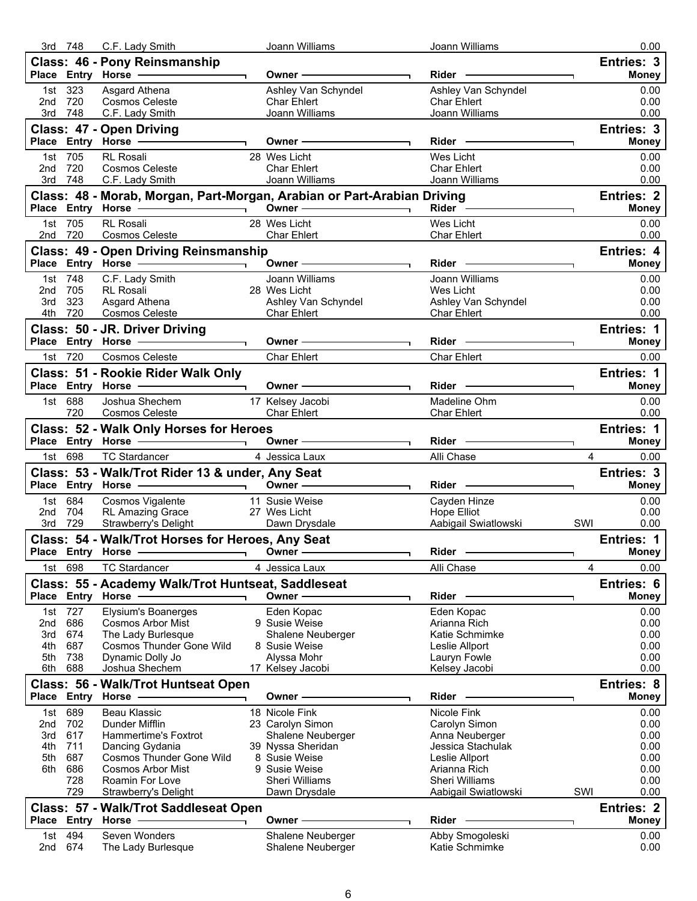|     | 3rd 748        | C.F. Lady Smith                                                                                               | Joann Williams                                                          | Joann Williams                                                                                                                                                                                                                 | 0.00                                     |
|-----|----------------|---------------------------------------------------------------------------------------------------------------|-------------------------------------------------------------------------|--------------------------------------------------------------------------------------------------------------------------------------------------------------------------------------------------------------------------------|------------------------------------------|
|     |                | Class: 46 - Pony Reinsmanship                                                                                 |                                                                         |                                                                                                                                                                                                                                | Entries: 3                               |
|     |                |                                                                                                               |                                                                         |                                                                                                                                                                                                                                | <b>Money</b>                             |
|     | 1st 323        | Asgard Athena                                                                                                 | Ashley Van Schyndel                                                     | Ashley Van Schyndel                                                                                                                                                                                                            | 0.00                                     |
|     | 2nd 720        | <b>Cosmos Celeste</b>                                                                                         | Char Ehlert                                                             | <b>Char Ehlert</b>                                                                                                                                                                                                             | 0.00                                     |
|     | 3rd 748        | C.F. Lady Smith                                                                                               | Joann Williams <b>State Advisors</b>                                    | Joann Williams                                                                                                                                                                                                                 | 0.00                                     |
|     |                |                                                                                                               |                                                                         |                                                                                                                                                                                                                                |                                          |
|     |                | Class: 47 - Open Driving                                                                                      |                                                                         |                                                                                                                                                                                                                                | Entries: 3                               |
|     |                | Place Entry Horse - Charles Communication                                                                     | Owner $\longrightarrow$                                                 |                                                                                                                                                                                                                                | <b>Money</b>                             |
|     | 1st 705        | RL Rosali                                                                                                     | 28 Wes Licht                                                            | Wes Licht                                                                                                                                                                                                                      | 0.00                                     |
| 2nd | 720            | Cosmos Celeste                                                                                                | <b>Char Ehlert</b>                                                      | <b>Char Ehlert</b>                                                                                                                                                                                                             | 0.00                                     |
|     | 3rd 748        | C.F. Lady Smith                                                                                               | Joann Williams <b>State Advisors</b>                                    | Joann Williams                                                                                                                                                                                                                 | 0.00                                     |
|     |                |                                                                                                               |                                                                         |                                                                                                                                                                                                                                | <b>Entries: 2</b>                        |
|     |                |                                                                                                               | Class: 48 - Morab, Morgan, Part-Morgan, Arabian or Part-Arabian Driving | Rider <sup>-</sup> —————                                                                                                                                                                                                       |                                          |
|     |                | Place Entry Horse ————————————————————                                                                        | Owner $\overline{\qquad \qquad }$                                       |                                                                                                                                                                                                                                | <b>Money</b>                             |
|     | 1st 705        | RL Rosali                                                                                                     | 28 Wes Licht                                                            | Wes Licht                                                                                                                                                                                                                      | 0.00                                     |
|     | 2nd 720        | Cosmos Celeste <b>Cosmos Celeste</b>                                                                          | <b>Char Ehlert</b>                                                      | Char Ehlert                                                                                                                                                                                                                    | 0.00                                     |
|     |                | <b>Class: 49 - Open Driving Reinsmanship</b>                                                                  |                                                                         |                                                                                                                                                                                                                                | Entries: 4                               |
|     |                |                                                                                                               |                                                                         | Rider - The Contract of the Contract of the Contract of the Contract of the Contract of the Contract of the Contract of the Contract of the Contract of the Contract of the Contract of the Contract of the Contract of the Co | <b>Money</b>                             |
|     |                |                                                                                                               |                                                                         |                                                                                                                                                                                                                                |                                          |
|     | 1st 748        | C.F. Lady Smith<br><b>RL</b> Rosali                                                                           | Joann Williams<br>28 Wes Licht                                          | Joann Williams<br>Wes Licht                                                                                                                                                                                                    | 0.00                                     |
| 3rd | 2nd 705<br>323 | Asgard Athena                                                                                                 | Ashley Van Schyndel                                                     |                                                                                                                                                                                                                                | 0.00<br>0.00                             |
|     | 4th 720        | Cosmos Celeste                                                                                                |                                                                         | Ashley Van Schyndel                                                                                                                                                                                                            |                                          |
|     |                |                                                                                                               | <b>Char Ehlert</b>                                                      | Char Ehlert<br>the control of the control of the control of                                                                                                                                                                    | 0.00                                     |
|     |                | Class: 50 - JR. Driver Driving                                                                                |                                                                         |                                                                                                                                                                                                                                | Entries: 1                               |
|     |                | Place Entry Horse ————————————————————                                                                        | Owner $\longrightarrow$                                                 | <u> 1989 - Johann Barnett, fransk politik (</u>                                                                                                                                                                                | <b>Money</b><br>$\overline{\phantom{0}}$ |
|     | 1st 720        | Cosmos Celeste                                                                                                | <b>Char Ehlert</b>                                                      | <b>Char Ehlert</b>                                                                                                                                                                                                             | 0.00                                     |
|     |                |                                                                                                               |                                                                         |                                                                                                                                                                                                                                |                                          |
|     |                | Class: 51 - Rookie Rider Walk Only                                                                            |                                                                         |                                                                                                                                                                                                                                | Entries: 1                               |
|     |                | Place Entry Horse - The Control of the Control of the Control of the Control of the Control of the Control of | Owner ————————                                                          | Rider <b>Container Services</b>                                                                                                                                                                                                | <b>Money</b>                             |
|     | 1st 688        | Joshua Shechem                                                                                                | 17 Kelsey Jacobi                                                        | Madeline Ohm                                                                                                                                                                                                                   | 0.00                                     |
|     | 720            | Cosmos Celeste <b>Cosmos</b> Celeste                                                                          | Char Ehlert                                                             | <b>Char Ehlert</b>                                                                                                                                                                                                             | 0.00                                     |
|     |                | Class: 52 - Walk Only Horses for Heroes                                                                       |                                                                         |                                                                                                                                                                                                                                | Entries: 1                               |
|     |                |                                                                                                               |                                                                         |                                                                                                                                                                                                                                | <b>Money</b>                             |
|     |                |                                                                                                               |                                                                         |                                                                                                                                                                                                                                |                                          |
|     | 1st 698        | <b>TC Stardancer</b>                                                                                          | 4 Jessica Laux                                                          | Alli Chase                                                                                                                                                                                                                     | $\overline{4}$<br>0.00                   |
|     |                | Class: 53 - Walk/Trot Rider 13 & under, Any Seat                                                              |                                                                         |                                                                                                                                                                                                                                | Entries: 3                               |
|     |                |                                                                                                               | Owner $\longrightarrow$                                                 |                                                                                                                                                                                                                                | <b>Money</b>                             |
|     |                |                                                                                                               |                                                                         |                                                                                                                                                                                                                                |                                          |
|     | 1st 684        | Cosmos Vigalente <b>11</b> Susie Weise                                                                        |                                                                         | Cayden Hinze                                                                                                                                                                                                                   | 0.00                                     |
|     | 2nd 704        | RL Amazing Grace<br>Strawberry's Delight                                                                      | 27 Wes Licht                                                            | Hope Elliot                                                                                                                                                                                                                    | 0.00                                     |
|     | 3rd 729        | Strawberry's Delight                                                                                          | Dawn Drysdale                                                           | Aabigail Swiatlowski                                                                                                                                                                                                           | SWI<br>0.00                              |
|     |                | Class: 54 - Walk/Trot Horses for Heroes, Any Seat                                                             |                                                                         |                                                                                                                                                                                                                                | <b>Entries: 1</b>                        |
|     |                |                                                                                                               |                                                                         | Rider                                                                                                                                                                                                                          | <b>Money</b>                             |
| 1st | 698            | <b>TC Stardancer</b>                                                                                          | 4 Jessica Laux                                                          | Alli Chase                                                                                                                                                                                                                     | 0.00<br>4                                |
|     |                |                                                                                                               |                                                                         |                                                                                                                                                                                                                                |                                          |
|     |                | Class: 55 - Academy Walk/Trot Huntseat, Saddleseat                                                            |                                                                         |                                                                                                                                                                                                                                | Entries: 6                               |
|     | Place Entry    | Horse                                                                                                         | Owner -                                                                 | Rider                                                                                                                                                                                                                          | <b>Money</b>                             |
| 1st | 727            | Elysium's Boanerges                                                                                           | Eden Kopac                                                              | Eden Kopac                                                                                                                                                                                                                     | 0.00                                     |
| 2nd | 686            | <b>Cosmos Arbor Mist</b>                                                                                      | 9 Susie Weise                                                           | Arianna Rich                                                                                                                                                                                                                   | 0.00                                     |
| 3rd | 674            | The Lady Burlesque                                                                                            | Shalene Neuberger                                                       | Katie Schmimke                                                                                                                                                                                                                 | 0.00                                     |
| 4th | 687            | <b>Cosmos Thunder Gone Wild</b>                                                                               | 8 Susie Weise                                                           | Leslie Allport                                                                                                                                                                                                                 | 0.00                                     |
| 5th | 738            | Dynamic Dolly Jo                                                                                              | Alyssa Mohr                                                             | Lauryn Fowle                                                                                                                                                                                                                   | 0.00                                     |
| 6th | 688            | Joshua Shechem                                                                                                | 17 Kelsey Jacobi                                                        | Kelsey Jacobi                                                                                                                                                                                                                  | 0.00                                     |
|     |                | Class: 56 - Walk/Trot Huntseat Open                                                                           |                                                                         |                                                                                                                                                                                                                                | <b>Entries: 8</b>                        |
|     |                | Place Entry Horse                                                                                             |                                                                         | Rider                                                                                                                                                                                                                          |                                          |
|     |                |                                                                                                               | <b>Owner</b>                                                            |                                                                                                                                                                                                                                | <b>Money</b>                             |
| 1st | 689            | Beau Klassic                                                                                                  | 18 Nicole Fink                                                          | Nicole Fink                                                                                                                                                                                                                    | 0.00                                     |
| 2nd | 702            | Dunder Mifflin                                                                                                | 23 Carolyn Simon                                                        | Carolyn Simon                                                                                                                                                                                                                  | 0.00                                     |
| 3rd | 617            | Hammertime's Foxtrot                                                                                          | Shalene Neuberger                                                       | Anna Neuberger                                                                                                                                                                                                                 | 0.00                                     |
| 4th | 711            | Dancing Gydania                                                                                               | 39 Nyssa Sheridan                                                       | Jessica Stachulak                                                                                                                                                                                                              | 0.00                                     |
| 5th |                | <b>Cosmos Thunder Gone Wild</b>                                                                               | 8 Susie Weise                                                           | Leslie Allport                                                                                                                                                                                                                 | 0.00                                     |
|     | 687            |                                                                                                               | 9 Susie Weise                                                           | Arianna Rich                                                                                                                                                                                                                   | 0.00                                     |
| 6th | 686            | <b>Cosmos Arbor Mist</b>                                                                                      |                                                                         |                                                                                                                                                                                                                                |                                          |
|     | 728            | Roamin For Love                                                                                               | Sheri Williams                                                          | Sheri Williams                                                                                                                                                                                                                 | 0.00                                     |
|     | 729            | Strawberry's Delight                                                                                          | Dawn Drysdale                                                           | Aabigail Swiatlowski                                                                                                                                                                                                           | SWI<br>0.00                              |
|     |                |                                                                                                               |                                                                         |                                                                                                                                                                                                                                |                                          |
|     |                | Class: 57 - Walk/Trot Saddleseat Open                                                                         |                                                                         |                                                                                                                                                                                                                                | <b>Entries: 2</b>                        |
|     |                | Place Entry Horse                                                                                             | Owner -                                                                 | Rider                                                                                                                                                                                                                          | <b>Money</b>                             |
| 1st | 494            | Seven Wonders                                                                                                 | Shalene Neuberger                                                       | Abby Smogoleski                                                                                                                                                                                                                | 0.00                                     |
| 2nd | 674            | The Lady Burlesque                                                                                            | Shalene Neuberger                                                       | Katie Schmimke                                                                                                                                                                                                                 | 0.00                                     |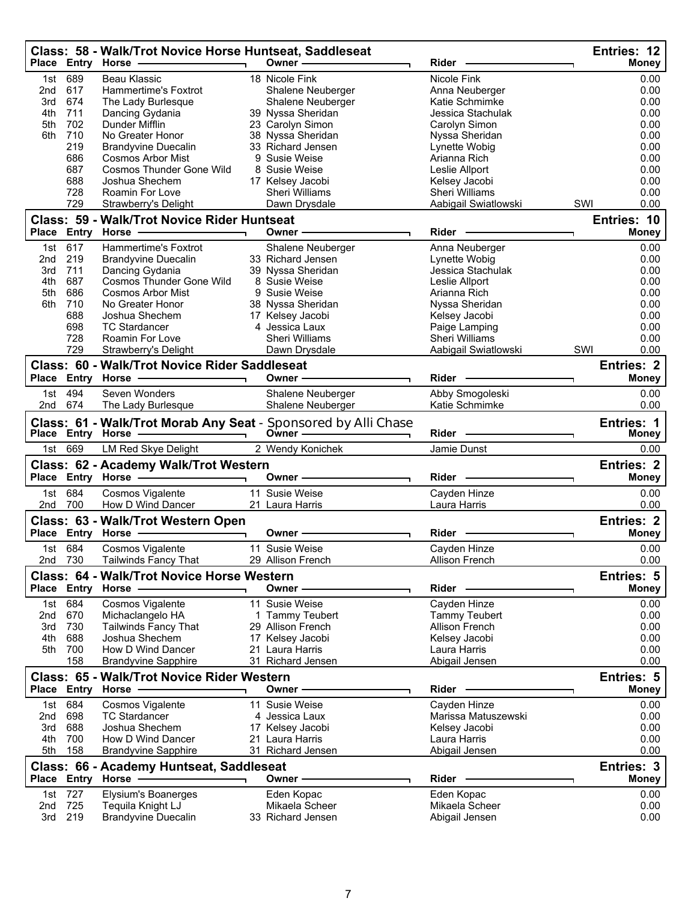|                 |             | Class: 58 - Walk/Trot Novice Horse Huntseat, Saddleseat<br>Place Entry Horse - | Owner-                                                                    | <b>Rider</b>          | Entries: 12<br><b>Money</b>       |
|-----------------|-------------|--------------------------------------------------------------------------------|---------------------------------------------------------------------------|-----------------------|-----------------------------------|
| 1st             | 689         | <b>Beau Klassic</b>                                                            | 18 Nicole Fink                                                            | Nicole Fink           | 0.00                              |
| 2nd             | 617         | Hammertime's Foxtrot                                                           | Shalene Neuberger                                                         | Anna Neuberger        | 0.00                              |
| 3rd             | 674         | The Lady Burlesque                                                             | Shalene Neuberger                                                         | Katie Schmimke        | 0.00                              |
| 4th             | 711         |                                                                                |                                                                           | Jessica Stachulak     | 0.00                              |
|                 |             | Dancing Gydania                                                                | 39 Nyssa Sheridan                                                         |                       |                                   |
| 5th             | 702         | Dunder Mifflin                                                                 | 23 Carolyn Simon                                                          | Carolyn Simon         | 0.00                              |
| 6th             | 710         | No Greater Honor                                                               | 38 Nyssa Sheridan                                                         | Nyssa Sheridan        | 0.00                              |
|                 | 219         | <b>Brandyvine Duecalin</b>                                                     | 33 Richard Jensen                                                         | Lynette Wobig         | 0.00                              |
|                 | 686         | <b>Cosmos Arbor Mist</b>                                                       | 9 Susie Weise                                                             | Arianna Rich          | 0.00                              |
|                 | 687         | <b>Cosmos Thunder Gone Wild</b>                                                | 8 Susie Weise                                                             | Leslie Allport        | 0.00                              |
|                 | 688         | Joshua Shechem                                                                 | 17 Kelsey Jacobi                                                          | Kelsey Jacobi         | 0.00                              |
|                 | 728         | Roamin For Love                                                                | Sheri Williams                                                            | <b>Sheri Williams</b> | 0.00                              |
|                 | 729         | <b>Strawberry's Delight</b>                                                    | Dawn Drysdale                                                             | Aabigail Swiatlowski  | SWI<br>0.00                       |
|                 |             | Class: 59 - Walk/Trot Novice Rider Huntseat                                    |                                                                           |                       | Entries: 10                       |
|                 | Place Entry | Horse -                                                                        | Owner -                                                                   | Rider                 | <b>Money</b>                      |
| 1st             | 617         | Hammertime's Foxtrot                                                           | Shalene Neuberger                                                         | Anna Neuberger        | 0.00                              |
| 2 <sub>nd</sub> | 219         | <b>Brandyvine Duecalin</b>                                                     | 33 Richard Jensen                                                         | Lynette Wobig         | 0.00                              |
| 3rd             | 711         | Dancing Gydania                                                                | 39 Nyssa Sheridan                                                         | Jessica Stachulak     | 0.00                              |
| 4th             | 687         | <b>Cosmos Thunder Gone Wild</b>                                                | 8 Susie Weise                                                             | Leslie Allport        | 0.00                              |
| 5th             | 686         | <b>Cosmos Arbor Mist</b>                                                       | 9 Susie Weise                                                             | Arianna Rich          | 0.00                              |
| 6th             | 710         | No Greater Honor                                                               | 38 Nyssa Sheridan                                                         | Nyssa Sheridan        | 0.00                              |
|                 |             |                                                                                |                                                                           |                       |                                   |
|                 | 688         | Joshua Shechem                                                                 | 17 Kelsey Jacobi                                                          | Kelsey Jacobi         | 0.00                              |
|                 | 698         | <b>TC Stardancer</b>                                                           | 4 Jessica Laux                                                            | Paige Lamping         | 0.00                              |
|                 | 728         | Roamin For Love                                                                | Sheri Williams                                                            | <b>Sheri Williams</b> | 0.00                              |
|                 | 729         | Strawberry's Delight                                                           | Dawn Drysdale                                                             | Aabigail Swiatlowski  | SWI<br>0.00                       |
|                 |             | Class: 60 - Walk/Trot Novice Rider Saddleseat                                  |                                                                           | Rider                 | <b>Entries: 2</b>                 |
|                 |             | Place Entry Horse -                                                            | Owner -                                                                   |                       | <b>Money</b>                      |
|                 | 1st 494     | Seven Wonders                                                                  | Shalene Neuberger                                                         | Abby Smogoleski       | 0.00                              |
| 2nd             | 674         | The Lady Burlesque                                                             | Shalene Neuberger                                                         | Katie Schmimke        | 0.00                              |
|                 |             | Place Entry Horse                                                              | Class: 61 - Walk/Trot Morab Any Seat - Sponsored by Alli Chase<br>Owner - | Rider                 | <b>Entries: 1</b><br><b>Money</b> |
| 1st             | 669         | <b>LM Red Skye Delight</b>                                                     | 2 Wendy Konichek                                                          | Jamie Dunst           | 0.00                              |
|                 |             | Class: 62 - Academy Walk/Trot Western                                          |                                                                           |                       | <b>Entries: 2</b>                 |
|                 |             |                                                                                | Owner -                                                                   | <b>Rider</b>          | <b>Money</b>                      |
|                 |             |                                                                                |                                                                           |                       |                                   |
| 1st             | 684         | Cosmos Vigalente                                                               | 11 Susie Weise                                                            | Cayden Hinze          | 0.00                              |
| 2nd             | 700         | How D Wind Dancer                                                              | 21 Laura Harris                                                           | Laura Harris          | 0.00                              |
|                 |             | Class: 63 - Walk/Trot Western Open                                             |                                                                           |                       | <b>Entries: 2</b>                 |
|                 |             | Place Entry Horse -                                                            | Owner -                                                                   | Rider                 |                                   |
|                 |             |                                                                                |                                                                           |                       |                                   |
|                 | 1st 684     | Cosmos Vigalente                                                               |                                                                           |                       | <b>Money</b>                      |
| 2nd 730         |             |                                                                                | 11 Susie Weise                                                            | Cayden Hinze          | 0.00                              |
|                 |             | Tailwinds Fancy That                                                           | 29 Allison French                                                         | Allison French        | 0.00                              |
|                 |             | <b>Class: 64 - Walk/Trot Novice Horse Western</b>                              |                                                                           |                       | Entries: 5                        |
|                 |             | Place Entry Horse -                                                            | Owner -                                                                   | Rider -               | Money                             |
|                 |             |                                                                                |                                                                           |                       |                                   |
| 1st             | 684         | Cosmos Vigalente                                                               | 11 Susie Weise                                                            | Cayden Hinze          | 0.00                              |
|                 | 2nd 670     | Michaclangelo HA                                                               | 1 Tammy Teubert                                                           | <b>Tammy Teubert</b>  | 0.00                              |
| 3rd             | 730         | <b>Tailwinds Fancy That</b>                                                    | 29 Allison French                                                         | Allison French        | 0.00                              |
| 4th             | 688         | Joshua Shechem                                                                 | 17 Kelsey Jacobi                                                          | Kelsey Jacobi         | 0.00                              |
|                 | 5th 700     | How D Wind Dancer                                                              | 21 Laura Harris                                                           | Laura Harris          | 0.00                              |
|                 | 158         | <b>Brandyvine Sapphire</b>                                                     | 31 Richard Jensen                                                         | Abigail Jensen        | 0.00                              |
|                 |             | <b>Class: 65 - Walk/Trot Novice Rider Western</b>                              |                                                                           |                       | <b>Entries: 5</b>                 |
|                 |             | Place Entry Horse                                                              | Owner -                                                                   | Rider                 | Money                             |
| 1st             | 684         | Cosmos Vigalente                                                               | 11 Susie Weise                                                            | Cayden Hinze          | 0.00                              |
| 2nd             | 698         | <b>TC Stardancer</b>                                                           | 4 Jessica Laux                                                            | Marissa Matuszewski   | 0.00                              |
| 3rd             | 688         | Joshua Shechem                                                                 |                                                                           |                       | 0.00                              |
|                 |             |                                                                                | 17 Kelsey Jacobi<br>21 Laura Harris                                       | Kelsey Jacobi         |                                   |
| 4th             | 700         | How D Wind Dancer                                                              |                                                                           | Laura Harris          | 0.00                              |
| 5th             | 158         | <b>Brandyvine Sapphire</b>                                                     | 31 Richard Jensen                                                         | Abigail Jensen        | 0.00                              |
|                 |             | Class: 66 - Academy Huntseat, Saddleseat                                       |                                                                           |                       | Entries: 3                        |
|                 |             | Place Entry Horse -                                                            | Owner -                                                                   | Rider -               | Money                             |
|                 | 1st 727     | Elysium's Boanerges                                                            | Eden Kopac                                                                | Eden Kopac            | 0.00                              |
| 2nd             | 725         | Tequila Knight LJ                                                              | Mikaela Scheer                                                            | Mikaela Scheer        | 0.00                              |
|                 | 3rd 219     | <b>Brandyvine Duecalin</b>                                                     | 33 Richard Jensen                                                         | Abigail Jensen        | 0.00                              |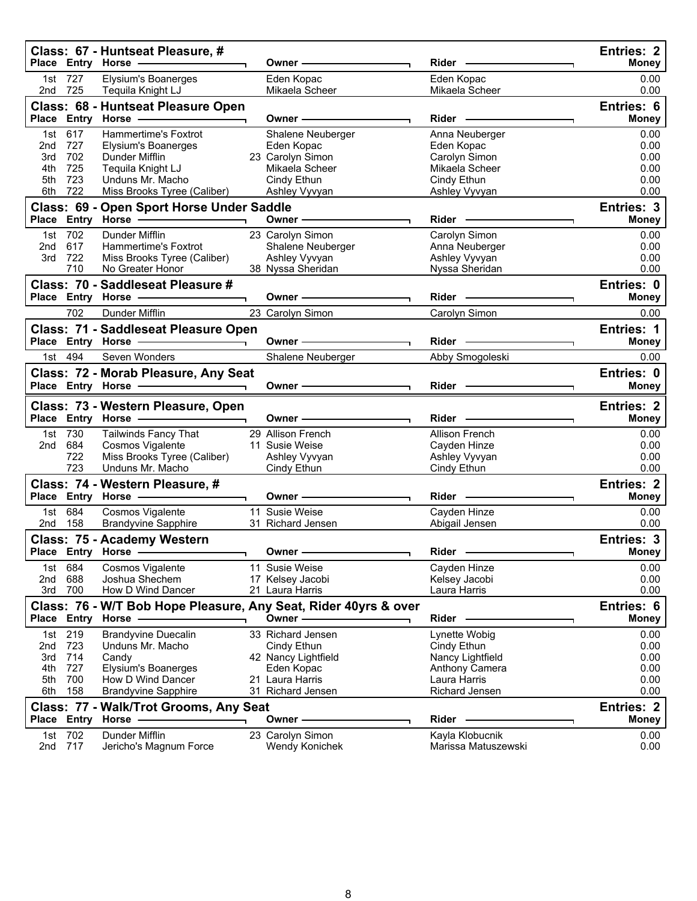|                                        |                                        | Class: 67 - Huntseat Pleasure, #<br>Place Entry Horse -                                                                                                    | Owner -                                                                                                                                                                                                                        |                                                                                                 | <b>Entries: 2</b><br><b>Money</b>            |
|----------------------------------------|----------------------------------------|------------------------------------------------------------------------------------------------------------------------------------------------------------|--------------------------------------------------------------------------------------------------------------------------------------------------------------------------------------------------------------------------------|-------------------------------------------------------------------------------------------------|----------------------------------------------|
|                                        | 1st 727<br>2nd 725                     | <b>Elysium's Boanerges</b><br>Tequila Knight LJ                                                                                                            | Eden Kopac<br>Mikaela Scheer                                                                                                                                                                                                   | Eden Kopac<br>Mikaela Scheer                                                                    | 0.00<br>0.00                                 |
|                                        |                                        | Class: 68 - Huntseat Pleasure Open<br>Place Entry Horse -                                                                                                  | Owner-                                                                                                                                                                                                                         | Rider -                                                                                         | Entries: 6<br><b>Money</b>                   |
| 1st<br>2nd<br>3rd<br>4th<br>5th<br>6th | 617<br>727<br>702<br>725<br>723<br>722 | Hammertime's Foxtrot<br>Elysium's Boanerges<br>Dunder Mifflin<br>Tequila Knight LJ<br>Unduns Mr. Macho<br>Miss Brooks Tyree (Caliber)                      | Shalene Neuberger<br>Eden Kopac<br>23 Carolyn Simon<br>Mikaela Scheer<br>Cindy Ethun<br>Ashley Vyvyan                                                                                                                          | Anna Neuberger<br>Eden Kopac<br>Carolyn Simon<br>Mikaela Scheer<br>Cindy Ethun<br>Ashley Vyvyan | 0.00<br>0.00<br>0.00<br>0.00<br>0.00<br>0.00 |
|                                        |                                        | Class: 69 - Open Sport Horse Under Saddle<br>Place Entry Horse - The Control of the Control of the Control of the Control of the Control of the Control of | Owner $-\qquad-\qquad-\qquad-\qquad$                                                                                                                                                                                           | Rider                                                                                           | Entries: 3<br><b>Money</b>                   |
| 1st<br>2nd<br>3rd                      | 702<br>617<br>722<br>710               | Dunder Mifflin<br>Hammertime's Foxtrot<br>Miss Brooks Tyree (Caliber)<br>No Greater Honor                                                                  | 23 Carolyn Simon<br>Shalene Neuberger<br>Ashley Vyvyan<br>38 Nyssa Sheridan                                                                                                                                                    | Carolyn Simon<br>Anna Neuberger<br>Ashley Vyvyan<br>Nyssa Sheridan                              | 0.00<br>0.00<br>0.00<br>0.00                 |
|                                        |                                        | Class: 70 - Saddleseat Pleasure #<br>Place Entry Horse - The Management of the Management of the Management of the Management of the Management of         | Owner -                                                                                                                                                                                                                        | Rider -                                                                                         | Entries: 0<br><b>Money</b>                   |
|                                        | 702                                    | Dunder Mifflin                                                                                                                                             | 23 Carolyn Simon                                                                                                                                                                                                               | Carolyn Simon                                                                                   | 0.00                                         |
|                                        |                                        | Class: 71 - Saddleseat Pleasure Open<br>Place Entry Horse - and Discount of the Marine of Theorem                                                          | Owner —                                                                                                                                                                                                                        | Rider -                                                                                         | Entries: 1<br><b>Money</b>                   |
|                                        | 1st 494                                | Seven Wonders                                                                                                                                              | Shalene Neuberger                                                                                                                                                                                                              | Abby Smogoleski                                                                                 | 0.00                                         |
|                                        |                                        | Class: 72 - Morab Pleasure, Any Seat<br>Place Entry Horse ——————————                                                                                       | Owner - The Common Common Common Common Common Common Common Common Common Common Common Common Common Common Common Common Common Common Common Common Common Common Common Common Common Common Common Common Common Common  | Rider -                                                                                         | Entries: 0<br><b>Money</b>                   |
|                                        |                                        | Class: 73 - Western Pleasure, Open                                                                                                                         |                                                                                                                                                                                                                                |                                                                                                 | <b>Entries: 2</b>                            |
|                                        |                                        | <u> The Common School (1989)</u>                                                                                                                           | Owner -                                                                                                                                                                                                                        | Rider -                                                                                         |                                              |
| 2nd                                    | 1st 730<br>684<br>722                  | Place Entry Horse -<br><b>Tailwinds Fancy That</b><br>Cosmos Vigalente<br>Miss Brooks Tyree (Caliber)                                                      | 29 Allison French<br>11 Susie Weise<br>Ashley Vyvyan                                                                                                                                                                           | Allison French<br>Cayden Hinze<br>Ashley Vyvyan                                                 | <b>Money</b><br>0.00<br>0.00<br>0.00         |
|                                        | 723                                    | Unduns Mr. Macho                                                                                                                                           | Cindy Ethun                                                                                                                                                                                                                    | Cindy Ethun                                                                                     | 0.00<br><b>Entries: 2</b>                    |
|                                        |                                        | Class: 74 - Western Pleasure, #<br>Place Entry Horse -                                                                                                     | Owner - The Commission of the Commission of the Commission of the Commission of the Commission of the Commission of the Commission of the Commission of the Commission of the Commission of the Commission of the Commission o |                                                                                                 | <b>Money</b>                                 |
|                                        | 1st 684                                | Cosmos Vigalente                                                                                                                                           | 11 Susie Weise                                                                                                                                                                                                                 | Cayden Hinze                                                                                    | 0.00                                         |
|                                        | 2nd 158                                | <b>Brandyvine Sapphire</b>                                                                                                                                 | 31 Richard Jensen                                                                                                                                                                                                              | Abigail Jensen                                                                                  | 0.00                                         |
| Place                                  | Entry                                  | Class: 75 - Academy Western<br>Horse                                                                                                                       | Owner                                                                                                                                                                                                                          | Rider                                                                                           | Entries: 3<br>money                          |
| 1st<br>2nd                             | 684<br>688                             | Cosmos Vigalente<br>Joshua Shechem                                                                                                                         | 11 Susie Weise<br>17 Kelsey Jacobi                                                                                                                                                                                             | Cayden Hinze<br>Kelsey Jacobi                                                                   | 0.00<br>0.00                                 |
| 3rd                                    | 700                                    | How D Wind Dancer                                                                                                                                          | 21 Laura Harris<br>Class: 76 - W/T Bob Hope Pleasure, Any Seat, Rider 40yrs & over                                                                                                                                             | Laura Harris                                                                                    | 0.00<br><b>Entries: 6</b>                    |
|                                        | Place Entry<br>1st 219                 | <b>Horse</b><br><b>Brandyvine Duecalin</b>                                                                                                                 | Owner-<br>33 Richard Jensen                                                                                                                                                                                                    | Rider<br>Lynette Wobig                                                                          | <b>Money</b><br>0.00                         |
| 2nd<br>3rd                             | 723<br>714                             | Unduns Mr. Macho<br>Candy                                                                                                                                  | Cindy Ethun<br>42 Nancy Lightfield                                                                                                                                                                                             | Cindy Ethun<br>Nancy Lightfield                                                                 | 0.00<br>0.00                                 |
| 4th<br>5th                             | 727<br>700                             | Elysium's Boanerges<br>How D Wind Dancer                                                                                                                   | Eden Kopac<br>21 Laura Harris                                                                                                                                                                                                  | Anthony Camera<br>Laura Harris                                                                  | 0.00<br>0.00                                 |
| 6th                                    | 158                                    | <b>Brandyvine Sapphire</b><br>Class: 77 - Walk/Trot Grooms, Any Seat                                                                                       | 31 Richard Jensen                                                                                                                                                                                                              | Richard Jensen                                                                                  | 0.00<br><b>Entries: 2</b>                    |
|                                        | 1st 702                                | Place Entry Horse<br>Dunder Mifflin                                                                                                                        | Owner⊹<br>23 Carolyn Simon                                                                                                                                                                                                     | Rider<br>Kayla Klobucnik                                                                        | <b>Money</b><br>0.00                         |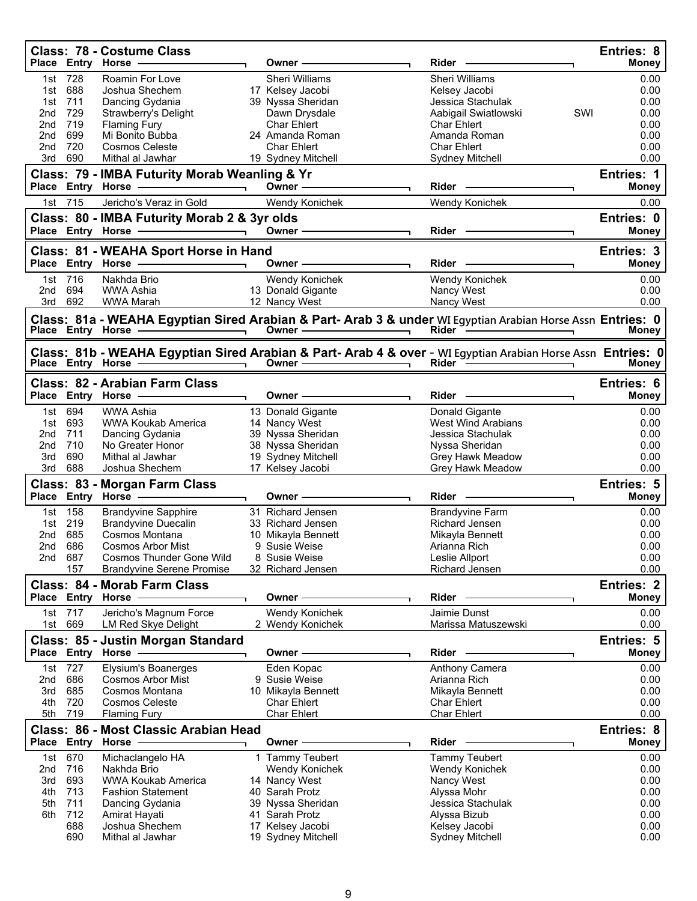|                 |             | <b>Class: 78 - Costume Class</b><br>Place Entry Horse -                                                                                                                                                                                                                                                                                                                                                                                                                                     | Owner -                                                                                                                                                                                                                       | Rider                                      | <b>Entries: 8</b><br><b>Money</b> |
|-----------------|-------------|---------------------------------------------------------------------------------------------------------------------------------------------------------------------------------------------------------------------------------------------------------------------------------------------------------------------------------------------------------------------------------------------------------------------------------------------------------------------------------------------|-------------------------------------------------------------------------------------------------------------------------------------------------------------------------------------------------------------------------------|--------------------------------------------|-----------------------------------|
| 1st             | 728         | Roamin For Love                                                                                                                                                                                                                                                                                                                                                                                                                                                                             | <b>Sheri Williams</b>                                                                                                                                                                                                         | <b>Sheri Williams</b>                      | 0.00                              |
| 1st             | 688         | Joshua Shechem                                                                                                                                                                                                                                                                                                                                                                                                                                                                              | 17 Kelsey Jacobi                                                                                                                                                                                                              | Kelsey Jacobi                              | 0.00                              |
| 1st             | 711         | Dancing Gydania                                                                                                                                                                                                                                                                                                                                                                                                                                                                             | 39 Nyssa Sheridan                                                                                                                                                                                                             | Jessica Stachulak                          | 0.00                              |
| 2nd<br>2nd      | 729<br>719  | Strawberry's Delight<br><b>Flaming Fury</b>                                                                                                                                                                                                                                                                                                                                                                                                                                                 | Dawn Drysdale<br><b>Char Ehlert</b>                                                                                                                                                                                           | Aabigail Swiatlowski<br><b>Char Ehlert</b> | SWI<br>0.00<br>0.00               |
| 2 <sub>nd</sub> | 699         | Mi Bonito Bubba                                                                                                                                                                                                                                                                                                                                                                                                                                                                             | 24 Amanda Roman                                                                                                                                                                                                               | Amanda Roman                               | 0.00                              |
| 2nd             | 720         | Cosmos Celeste                                                                                                                                                                                                                                                                                                                                                                                                                                                                              | <b>Char Ehlert</b>                                                                                                                                                                                                            | <b>Char Ehlert</b>                         | 0.00                              |
| 3rd             | 690         | Mithal al Jawhar                                                                                                                                                                                                                                                                                                                                                                                                                                                                            | 19 Sydney Mitchell                                                                                                                                                                                                            | Sydney Mitchell                            | 0.00                              |
|                 |             | Class: 79 - IMBA Futurity Morab Weanling & Yr<br>Place Entry Horse -<br>$\overline{\phantom{a}}$ and $\overline{\phantom{a}}$ and $\overline{\phantom{a}}$ and $\overline{\phantom{a}}$ and $\overline{\phantom{a}}$ and $\overline{\phantom{a}}$ and $\overline{\phantom{a}}$ and $\overline{\phantom{a}}$ and $\overline{\phantom{a}}$ and $\overline{\phantom{a}}$ and $\overline{\phantom{a}}$ and $\overline{\phantom{a}}$ and $\overline{\phantom{a}}$ and $\overline{\phantom{a}}$ a | Owner -                                                                                                                                                                                                                       | Rider -                                    | <b>Entries: 1</b><br><b>Money</b> |
|                 | 1st 715     | Jericho's Veraz in Gold                                                                                                                                                                                                                                                                                                                                                                                                                                                                     | Wendy Konichek                                                                                                                                                                                                                | Wendy Konichek                             | 0.00                              |
|                 |             | Class: 80 - IMBA Futurity Morab 2 & 3yr olds                                                                                                                                                                                                                                                                                                                                                                                                                                                |                                                                                                                                                                                                                               |                                            | Entries: 0                        |
|                 |             | Place Entry Horse - The Control of the Control of the Control of the Control of the Control of the Control of                                                                                                                                                                                                                                                                                                                                                                               | Owner - The Communication of the Communication of the Communication of the Communication of the Communication of the Communication of the Communication of the Communication of the Communication of the Communication of the | Rider —                                    | <b>Money</b>                      |
|                 |             | Class: 81 - WEAHA Sport Horse in Hand                                                                                                                                                                                                                                                                                                                                                                                                                                                       |                                                                                                                                                                                                                               |                                            | Entries: 3                        |
|                 |             | Place Entry Horse                                                                                                                                                                                                                                                                                                                                                                                                                                                                           | Owner —                                                                                                                                                                                                                       | Rider -                                    | <b>Money</b>                      |
|                 | 1st 716     | Nakhda Brio                                                                                                                                                                                                                                                                                                                                                                                                                                                                                 | Wendy Konichek                                                                                                                                                                                                                | Wendy Konichek                             | 0.00                              |
| 2nd             | 694         | <b>WWA Ashia</b>                                                                                                                                                                                                                                                                                                                                                                                                                                                                            | 13 Donald Gigante                                                                                                                                                                                                             | Nancy West                                 | 0.00                              |
|                 | 3rd 692     | <b>WWA Marah</b>                                                                                                                                                                                                                                                                                                                                                                                                                                                                            | 12 Nancy West                                                                                                                                                                                                                 | Nancy West                                 | 0.00                              |
|                 |             | Place Entry Horse                                                                                                                                                                                                                                                                                                                                                                                                                                                                           | Class: 81a - WEAHA Egyptian Sired Arabian & Part- Arab 3 & under WI Egyptian Arabian Horse Assn Entries: 0<br>Owner -                                                                                                         | Rider <sup>-</sup>                         | Money                             |
|                 |             | Place Entry Horse                                                                                                                                                                                                                                                                                                                                                                                                                                                                           | Class: 81b - WEAHA Egyptian Sired Arabian & Part- Arab 4 & over - WI Egyptian Arabian Horse Assn Entries: 0<br>Place Entry Horse Money Cowner Compared Compared Money                                                         |                                            |                                   |
|                 |             | Class: 82 - Arabian Farm Class                                                                                                                                                                                                                                                                                                                                                                                                                                                              |                                                                                                                                                                                                                               |                                            | Entries: 6                        |
|                 | Place Entry | Horse ·                                                                                                                                                                                                                                                                                                                                                                                                                                                                                     | Owner -                                                                                                                                                                                                                       | Rider                                      | <b>Money</b>                      |
| 1st             | 694         | WWA Ashia                                                                                                                                                                                                                                                                                                                                                                                                                                                                                   | 13 Donald Gigante                                                                                                                                                                                                             | Donald Gigante                             | 0.00                              |
| 1st             | 693         | <b>WWA Koukab America</b>                                                                                                                                                                                                                                                                                                                                                                                                                                                                   | 14 Nancy West                                                                                                                                                                                                                 | West Wind Arabians                         | 0.00                              |
| 2nd             | 711         | Dancing Gydania                                                                                                                                                                                                                                                                                                                                                                                                                                                                             | 39 Nyssa Sheridan                                                                                                                                                                                                             | Jessica Stachulak                          | 0.00                              |
| 2nd             | 710         | No Greater Honor                                                                                                                                                                                                                                                                                                                                                                                                                                                                            | 38 Nyssa Sheridan                                                                                                                                                                                                             | Nyssa Sheridan                             | 0.00                              |
| 3rd             | 690         | Mithal al Jawhar                                                                                                                                                                                                                                                                                                                                                                                                                                                                            | 19 Sydney Mitchell                                                                                                                                                                                                            | Grey Hawk Meadow                           | 0.00                              |
| 3rd             | 688         | Joshua Shechem                                                                                                                                                                                                                                                                                                                                                                                                                                                                              | 17 Kelsey Jacobi                                                                                                                                                                                                              | Grey Hawk Meadow                           | 0.00                              |
|                 | Place Entry | Class: 83 - Morgan Farm Class<br>Horse -                                                                                                                                                                                                                                                                                                                                                                                                                                                    | Owner -                                                                                                                                                                                                                       | Rider -                                    | Entries: 5<br><b>Money</b>        |
|                 |             |                                                                                                                                                                                                                                                                                                                                                                                                                                                                                             | 31 Richard Jensen                                                                                                                                                                                                             |                                            |                                   |
| 1st<br>1st      | 158<br>219  | <b>Brandyvine Sapphire</b><br><b>Brandyvine Duecalin</b>                                                                                                                                                                                                                                                                                                                                                                                                                                    | 33 Richard Jensen                                                                                                                                                                                                             | <b>Brandyvine Farm</b><br>Richard Jensen   | 0.00<br>0.00                      |
| 2nd             | 685         | Cosmos Montana                                                                                                                                                                                                                                                                                                                                                                                                                                                                              | 10 Mikayla Bennett                                                                                                                                                                                                            | Mikayla Bennett                            | 0.00                              |
| 2nd             | 686         | Cosmos Arbor Mist                                                                                                                                                                                                                                                                                                                                                                                                                                                                           | 9 Susie Weise                                                                                                                                                                                                                 | Arianna Rich                               | 0.00                              |
| 2nd             | 687         | <b>Cosmos Thunder Gone Wild</b>                                                                                                                                                                                                                                                                                                                                                                                                                                                             | 8 Susie Weise                                                                                                                                                                                                                 | Leslie Allport                             | 0.00                              |
|                 | 157         | <b>Brandyvine Serene Promise</b>                                                                                                                                                                                                                                                                                                                                                                                                                                                            | 32 Richard Jensen                                                                                                                                                                                                             | Richard Jensen                             | 0.00                              |
|                 |             | Class: 84 - Morab Farm Class<br>Place Entry Horse                                                                                                                                                                                                                                                                                                                                                                                                                                           | Owner -                                                                                                                                                                                                                       | Rider                                      | <b>Entries: 2</b><br><b>Money</b> |
|                 | 1st 717     | Jericho's Magnum Force                                                                                                                                                                                                                                                                                                                                                                                                                                                                      | Wendy Konichek                                                                                                                                                                                                                | Jaimie Dunst                               | 0.00                              |
|                 | 1st 669     | <b>LM Red Skye Delight</b>                                                                                                                                                                                                                                                                                                                                                                                                                                                                  | 2 Wendy Konichek                                                                                                                                                                                                              | Marissa Matuszewski                        | 0.00                              |
|                 |             | Class: 85 - Justin Morgan Standard<br>Place Entry Horse -                                                                                                                                                                                                                                                                                                                                                                                                                                   | Owner —                                                                                                                                                                                                                       | Rider                                      | Entries: 5<br><b>Money</b>        |
| 1st             | 727         | Elysium's Boanerges                                                                                                                                                                                                                                                                                                                                                                                                                                                                         | Eden Kopac                                                                                                                                                                                                                    | Anthony Camera                             | 0.00                              |
| 2nd             | 686         | Cosmos Arbor Mist                                                                                                                                                                                                                                                                                                                                                                                                                                                                           | 9 Susie Weise                                                                                                                                                                                                                 | Arianna Rich                               | 0.00                              |
| 3rd             | 685         | Cosmos Montana                                                                                                                                                                                                                                                                                                                                                                                                                                                                              | 10 Mikayla Bennett                                                                                                                                                                                                            | Mikayla Bennett                            | 0.00                              |
| 4th             | 720         | <b>Cosmos Celeste</b>                                                                                                                                                                                                                                                                                                                                                                                                                                                                       | <b>Char Ehlert</b>                                                                                                                                                                                                            | <b>Char Ehlert</b>                         | 0.00                              |
| 5th             | 719         | <b>Flaming Fury</b>                                                                                                                                                                                                                                                                                                                                                                                                                                                                         | <b>Char Ehlert</b>                                                                                                                                                                                                            | <b>Char Ehlert</b>                         | 0.00                              |
|                 | Place Entry | Class: 86 - Most Classic Arabian Head<br>Horse                                                                                                                                                                                                                                                                                                                                                                                                                                              | Owner -                                                                                                                                                                                                                       | Rider                                      | <b>Entries: 8</b><br><b>Money</b> |
| 1st             | 670         | Michaclangelo HA                                                                                                                                                                                                                                                                                                                                                                                                                                                                            | 1 Tammy Teubert                                                                                                                                                                                                               | Tammy Teubert                              | 0.00                              |
| 2nd             | 716         | Nakhda Brio                                                                                                                                                                                                                                                                                                                                                                                                                                                                                 | Wendy Konichek                                                                                                                                                                                                                | Wendy Konichek                             | 0.00                              |
| 3rd             | 693         | WWA Koukab America                                                                                                                                                                                                                                                                                                                                                                                                                                                                          | 14 Nancy West                                                                                                                                                                                                                 | Nancy West                                 | 0.00                              |
| 4th<br>5th      | 713<br>711  | <b>Fashion Statement</b>                                                                                                                                                                                                                                                                                                                                                                                                                                                                    | 40 Sarah Protz                                                                                                                                                                                                                | Alyssa Mohr<br>Jessica Stachulak           | 0.00<br>0.00                      |
| 6th             | 712         | Dancing Gydania<br>Amirat Hayati                                                                                                                                                                                                                                                                                                                                                                                                                                                            | 39 Nyssa Sheridan<br>41 Sarah Protz                                                                                                                                                                                           | Alyssa Bizub                               | 0.00                              |
|                 | 688         | Joshua Shechem                                                                                                                                                                                                                                                                                                                                                                                                                                                                              | 17 Kelsey Jacobi                                                                                                                                                                                                              | Kelsey Jacobi                              | 0.00                              |
|                 | 690         | Mithal al Jawhar                                                                                                                                                                                                                                                                                                                                                                                                                                                                            | 19 Sydney Mitchell                                                                                                                                                                                                            | Sydney Mitchell                            | 0.00                              |
|                 |             |                                                                                                                                                                                                                                                                                                                                                                                                                                                                                             |                                                                                                                                                                                                                               |                                            |                                   |